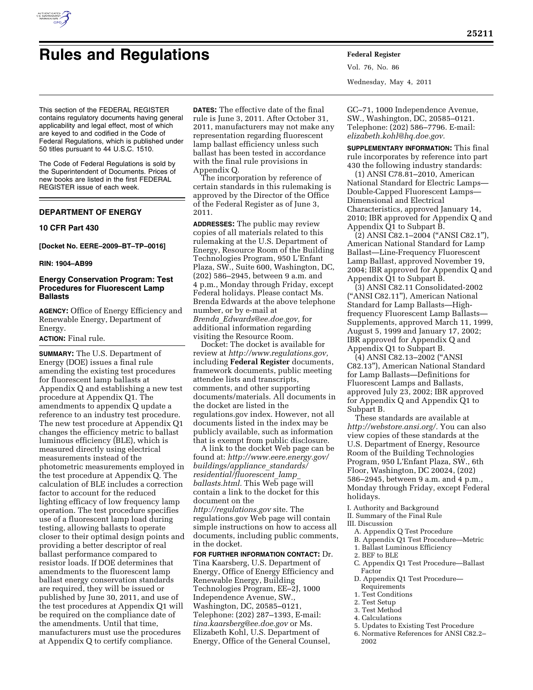

# **Rules and Regulations Federal Register**

Vol. 76, No. 86 Wednesday, May 4, 2011

This section of the FEDERAL REGISTER contains regulatory documents having general applicability and legal effect, most of which are keyed to and codified in the Code of Federal Regulations, which is published under 50 titles pursuant to 44 U.S.C. 1510.

The Code of Federal Regulations is sold by the Superintendent of Documents. Prices of new books are listed in the first FEDERAL REGISTER issue of each week.

# **DEPARTMENT OF ENERGY**

# **10 CFR Part 430**

**[Docket No. EERE–2009–BT–TP–0016]** 

# **RIN: 1904–AB99**

# **Energy Conservation Program: Test Procedures for Fluorescent Lamp Ballasts**

**AGENCY:** Office of Energy Efficiency and Renewable Energy, Department of Energy.

#### **ACTION:** Final rule.

**SUMMARY:** The U.S. Department of Energy (DOE) issues a final rule amending the existing test procedures for fluorescent lamp ballasts at Appendix Q and establishing a new test procedure at Appendix Q1. The amendments to appendix Q update a reference to an industry test procedure. The new test procedure at Appendix Q1 changes the efficiency metric to ballast luminous efficiency (BLE), which is measured directly using electrical measurements instead of the photometric measurements employed in the test procedure at Appendix Q. The calculation of BLE includes a correction factor to account for the reduced lighting efficacy of low frequency lamp operation. The test procedure specifies use of a fluorescent lamp load during testing, allowing ballasts to operate closer to their optimal design points and providing a better descriptor of real ballast performance compared to resistor loads. If DOE determines that amendments to the fluorescent lamp ballast energy conservation standards are required, they will be issued or published by June 30, 2011, and use of the test procedures at Appendix Q1 will be required on the compliance date of the amendments. Until that time, manufacturers must use the procedures at Appendix Q to certify compliance.

**DATES:** The effective date of the final rule is June 3, 2011. After October 31, 2011, manufacturers may not make any representation regarding fluorescent lamp ballast efficiency unless such ballast has been tested in accordance with the final rule provisions in Appendix Q.

The incorporation by reference of certain standards in this rulemaking is approved by the Director of the Office of the Federal Register as of June 3, 2011.

**ADDRESSES:** The public may review copies of all materials related to this rulemaking at the U.S. Department of Energy, Resource Room of the Building Technologies Program, 950 L'Enfant Plaza, SW., Suite 600, Washington, DC, (202) 586–2945, between 9 a.m. and 4 p.m., Monday through Friday, except Federal holidays. Please contact Ms. Brenda Edwards at the above telephone number, or by e-mail at *Brenda*\_*[Edwards@ee.doe.gov,](mailto:Brenda_Edwards@ee.doe.gov)* for additional information regarding visiting the Resource Room.

Docket: The docket is available for review at *[http://www.regulations.gov,](http://www.regulations.gov)*  including **Federal Register** documents, framework documents, public meeting attendee lists and transcripts, comments, and other supporting documents/materials. All documents in the docket are listed in the regulations.gov index. However, not all documents listed in the index may be publicly available, such as information that is exempt from public disclosure.

A link to the docket Web page can be found at: *[http://www.eere.energy.gov/](http://www.eere.energy.gov/buildings/appliance_standards/residential/fluorescent_lamp_ballasts.html) [buildings/appliance](http://www.eere.energy.gov/buildings/appliance_standards/residential/fluorescent_lamp_ballasts.html)*\_*standards/ [residential/fluorescent](http://www.eere.energy.gov/buildings/appliance_standards/residential/fluorescent_lamp_ballasts.html)*\_*lamp*\_ *[ballasts.html.](http://www.eere.energy.gov/buildings/appliance_standards/residential/fluorescent_lamp_ballasts.html)* This Web page will contain a link to the docket for this document on the

*<http://regulations.gov>* site. The regulations.gov Web page will contain simple instructions on how to access all documents, including public comments, in the docket.

**FOR FURTHER INFORMATION CONTACT:** Dr. Tina Kaarsberg, U.S. Department of Energy, Office of Energy Efficiency and Renewable Energy, Building Technologies Program, EE–2J, 1000 Independence Avenue, SW., Washington, DC, 20585–0121, Telephone: (202) 287–1393, E-mail: *[tina.kaarsberg@ee.doe.gov](mailto:tina.kaarsberg@ee.doe.gov)* or Ms. Elizabeth Kohl, U.S. Department of Energy, Office of the General Counsel,

GC–71, 1000 Independence Avenue, SW., Washington, DC, 20585–0121. Telephone: (202) 586–7796. E-mail: *[elizabeth.kohl@hq.doe.gov.](mailto:elizabeth.kohl@hq.doe.gov)* 

**SUPPLEMENTARY INFORMATION:** This final rule incorporates by reference into part 430 the following industry standards:

(1) ANSI C78.81–2010, American National Standard for Electric Lamps— Double-Capped Fluorescent Lamps— Dimensional and Electrical Characteristics, approved January 14, 2010; IBR approved for Appendix Q and Appendix Q1 to Subpart B.

(2) ANSI C82.1–2004 (''ANSI C82.1''), American National Standard for Lamp Ballast—Line-Frequency Fluorescent Lamp Ballast, approved November 19, 2004; IBR approved for Appendix Q and Appendix Q1 to Subpart B.

(3) ANSI C82.11 Consolidated-2002 (''ANSI C82.11''), American National Standard for Lamp Ballasts—Highfrequency Fluorescent Lamp Ballasts— Supplements, approved March 11, 1999, August 5, 1999 and January 17, 2002; IBR approved for Appendix Q and Appendix Q1 to Subpart B.

(4) ANSI C82.13–2002 (''ANSI C82.13''), American National Standard for Lamp Ballasts—Definitions for Fluorescent Lamps and Ballasts, approved July 23, 2002; IBR approved for Appendix Q and Appendix Q1 to Subpart B.

These standards are available at *[http://webstore.ansi.org/.](http://webstore.ansi.org/)* You can also view copies of these standards at the U.S. Department of Energy, Resource Room of the Building Technologies Program, 950 L'Enfant Plaza, SW., 6th Floor, Washington, DC 20024, (202) 586–2945, between 9 a.m. and 4 p.m., Monday through Friday, except Federal holidays.

I. Authority and Background

II. Summary of the Final Rule

## III. Discussion

- A. Appendix Q Test Procedure
- B. Appendix Q1 Test Procedure—Metric
- 1. Ballast Luminous Efficiency
- 2. BEF to BLE
- C. Appendix Q1 Test Procedure—Ballast Factor
- D. Appendix Q1 Test Procedure— Requirements
- 1. Test Conditions
- 2. Test Setup
- 3. Test Method
- 4. Calculations
- 5. Updates to Existing Test Procedure
- 6. Normative References for ANSI C82.2– 2002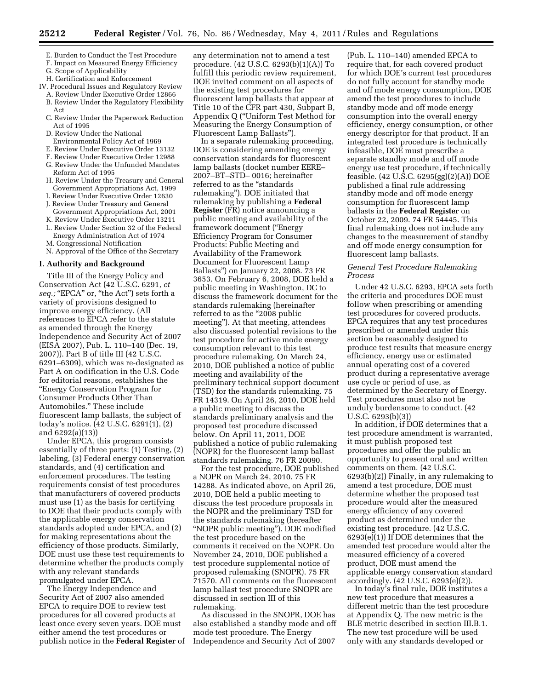- E. Burden to Conduct the Test Procedure
- F. Impact on Measured Energy Efficiency
- G. Scope of Applicability
- H. Certification and Enforcement
- IV. Procedural Issues and Regulatory Review A. Review Under Executive Order 12866
	- B. Review Under the Regulatory Flexibility Act
	- C. Review Under the Paperwork Reduction Act of 1995
	- D. Review Under the National
	- Environmental Policy Act of 1969
	- E. Review Under Executive Order 13132 F. Review Under Executive Order 12988
	- G. Review Under the Unfunded Mandates
	- Reform Act of 1995
	- H. Review Under the Treasury and General Government Appropriations Act, 1999
	- I. Review Under Executive Order 12630 J. Review Under Treasury and General
	- Government Appropriations Act, 2001
	- K. Review Under Executive Order 13211 L. Review Under Section 32 of the Federal
	- Energy Administration Act of 1974
	- M. Congressional Notification
	- N. Approval of the Office of the Secretary

# **I. Authority and Background**

Title III of the Energy Policy and Conservation Act (42 U.S.C. 6291, *et*  seq.; "EPCA" or, "the Act") sets forth a variety of provisions designed to improve energy efficiency. (All references to EPCA refer to the statute as amended through the Energy Independence and Security Act of 2007 (EISA 2007), Pub. L. 110–140 (Dec. 19, 2007)). Part B of title III (42 U.S.C. 6291–6309), which was re-designated as Part A on codification in the U.S. Code for editorial reasons, establishes the ''Energy Conservation Program for Consumer Products Other Than Automobiles.'' These include fluorescent lamp ballasts, the subject of today's notice. (42 U.S.C. 6291(1), (2) and 6292(a)(13))

Under EPCA, this program consists essentially of three parts: (1) Testing, (2) labeling, (3) Federal energy conservation standards, and (4) certification and enforcement procedures. The testing requirements consist of test procedures that manufacturers of covered products must use (1) as the basis for certifying to DOE that their products comply with the applicable energy conservation standards adopted under EPCA, and (2) for making representations about the efficiency of those products. Similarly, DOE must use these test requirements to determine whether the products comply with any relevant standards promulgated under EPCA.

The Energy Independence and Security Act of 2007 also amended EPCA to require DOE to review test procedures for all covered products at least once every seven years. DOE must either amend the test procedures or publish notice in the **Federal Register** of

any determination not to amend a test procedure. (42 U.S.C. 6293(b)(1)(A)) To fulfill this periodic review requirement, DOE invited comment on all aspects of the existing test procedures for fluorescent lamp ballasts that appear at Title 10 of the CFR part 430, Subpart B, Appendix Q (''Uniform Test Method for Measuring the Energy Consumption of Fluorescent Lamp Ballasts'').

In a separate rulemaking proceeding, DOE is considering amending energy conservation standards for fluorescent lamp ballasts (docket number EERE– 2007–BT–STD– 0016; hereinafter referred to as the ''standards rulemaking''). DOE initiated that rulemaking by publishing a **Federal Register** (FR) notice announcing a public meeting and availability of the framework document (''Energy Efficiency Program for Consumer Products: Public Meeting and Availability of the Framework Document for Fluorescent Lamp Ballasts'') on January 22, 2008. 73 FR 3653. On February 6, 2008, DOE held a public meeting in Washington, DC to discuss the framework document for the standards rulemaking (hereinafter referred to as the "2008 public meeting''). At that meeting, attendees also discussed potential revisions to the test procedure for active mode energy consumption relevant to this test procedure rulemaking. On March 24, 2010, DOE published a notice of public meeting and availability of the preliminary technical support document (TSD) for the standards rulemaking. 75 FR 14319. On April 26, 2010, DOE held a public meeting to discuss the standards preliminary analysis and the proposed test procedure discussed below. On April 11, 2011, DOE published a notice of public rulemaking (NOPR) for the fluorescent lamp ballast standards rulemaking. 76 FR 20090.

For the test procedure, DOE published a NOPR on March 24, 2010. 75 FR 14288. As indicated above, on April 26, 2010, DOE held a public meeting to discuss the test procedure proposals in the NOPR and the preliminary TSD for the standards rulemaking (hereafter ''NOPR public meeting''). DOE modified the test procedure based on the comments it received on the NOPR. On November 24, 2010, DOE published a test procedure supplemental notice of proposed rulemaking (SNOPR). 75 FR 71570. All comments on the fluorescent lamp ballast test procedure SNOPR are discussed in section III of this rulemaking.

As discussed in the SNOPR, DOE has also established a standby mode and off mode test procedure. The Energy Independence and Security Act of 2007

(Pub. L. 110–140) amended EPCA to require that, for each covered product for which DOE's current test procedures do not fully account for standby mode and off mode energy consumption, DOE amend the test procedures to include standby mode and off mode energy consumption into the overall energy efficiency, energy consumption, or other energy descriptor for that product. If an integrated test procedure is technically infeasible, DOE must prescribe a separate standby mode and off mode energy use test procedure, if technically feasible. (42 U.S.C. 6295(gg)(2)(A)) DOE published a final rule addressing standby mode and off mode energy consumption for fluorescent lamp ballasts in the **Federal Register** on October 22, 2009. 74 FR 54445. This final rulemaking does not include any changes to the measurement of standby and off mode energy consumption for fluorescent lamp ballasts.

# *General Test Procedure Rulemaking Process*

Under 42 U.S.C. 6293, EPCA sets forth the criteria and procedures DOE must follow when prescribing or amending test procedures for covered products. EPCA requires that any test procedures prescribed or amended under this section be reasonably designed to produce test results that measure energy efficiency, energy use or estimated annual operating cost of a covered product during a representative average use cycle or period of use, as determined by the Secretary of Energy. Test procedures must also not be unduly burdensome to conduct. (42 U.S.C. 6293(b)(3))

In addition, if DOE determines that a test procedure amendment is warranted, it must publish proposed test procedures and offer the public an opportunity to present oral and written comments on them. (42 U.S.C. 6293(b)(2)) Finally, in any rulemaking to amend a test procedure, DOE must determine whether the proposed test procedure would alter the measured energy efficiency of any covered product as determined under the existing test procedure. (42 U.S.C. 6293(e)(1)) If DOE determines that the amended test procedure would alter the measured efficiency of a covered product, DOE must amend the applicable energy conservation standard accordingly. (42 U.S.C. 6293(e)(2)).

In today's final rule, DOE institutes a new test procedure that measures a different metric than the test procedure at Appendix Q. The new metric is the BLE metric described in section III.B.1. The new test procedure will be used only with any standards developed or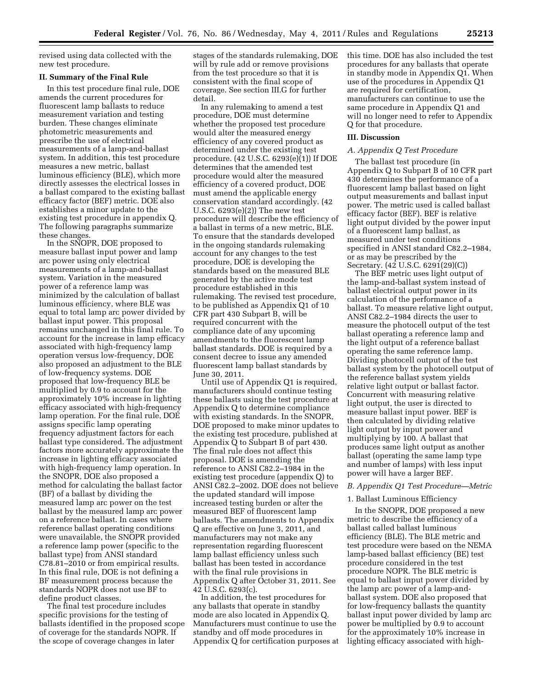revised using data collected with the new test procedure.

#### **II. Summary of the Final Rule**

In this test procedure final rule, DOE amends the current procedures for fluorescent lamp ballasts to reduce measurement variation and testing burden. These changes eliminate photometric measurements and prescribe the use of electrical measurements of a lamp-and-ballast system. In addition, this test procedure measures a new metric, ballast luminous efficiency (BLE), which more directly assesses the electrical losses in a ballast compared to the existing ballast efficacy factor (BEF) metric. DOE also establishes a minor update to the existing test procedure in appendix Q. The following paragraphs summarize these changes.

In the SNOPR, DOE proposed to measure ballast input power and lamp arc power using only electrical measurements of a lamp-and-ballast system. Variation in the measured power of a reference lamp was minimized by the calculation of ballast luminous efficiency, where BLE was equal to total lamp arc power divided by ballast input power. This proposal remains unchanged in this final rule. To account for the increase in lamp efficacy associated with high-frequency lamp operation versus low-frequency, DOE also proposed an adjustment to the BLE of low-frequency systems. DOE proposed that low-frequency BLE be multiplied by 0.9 to account for the approximately 10% increase in lighting efficacy associated with high-frequency lamp operation. For the final rule, DOE assigns specific lamp operating frequency adjustment factors for each ballast type considered. The adjustment factors more accurately approximate the increase in lighting efficacy associated with high-frequency lamp operation. In the SNOPR, DOE also proposed a method for calculating the ballast factor (BF) of a ballast by dividing the measured lamp arc power on the test ballast by the measured lamp arc power on a reference ballast. In cases where reference ballast operating conditions were unavailable, the SNOPR provided a reference lamp power (specific to the ballast type) from ANSI standard C78.81–2010 or from empirical results. In this final rule, DOE is not defining a BF measurement process because the standards NOPR does not use BF to define product classes.

The final test procedure includes specific provisions for the testing of ballasts identified in the proposed scope of coverage for the standards NOPR. If the scope of coverage changes in later

stages of the standards rulemaking, DOE will by rule add or remove provisions from the test procedure so that it is consistent with the final scope of coverage. See section III.G for further detail.

In any rulemaking to amend a test procedure, DOE must determine whether the proposed test procedure would alter the measured energy efficiency of any covered product as determined under the existing test procedure. (42 U.S.C. 6293(e)(1)) If DOE determines that the amended test procedure would alter the measured efficiency of a covered product, DOE must amend the applicable energy conservation standard accordingly. (42 U.S.C. 6293(e)(2)) The new test procedure will describe the efficiency of a ballast in terms of a new metric, BLE. To ensure that the standards developed in the ongoing standards rulemaking account for any changes to the test procedure, DOE is developing the standards based on the measured BLE generated by the active mode test procedure established in this rulemaking. The revised test procedure, to be published as Appendix Q1 of 10 CFR part 430 Subpart B, will be required concurrent with the compliance date of any upcoming amendments to the fluorescent lamp ballast standards. DOE is required by a consent decree to issue any amended fluorescent lamp ballast standards by June 30, 2011.

Until use of Appendix Q1 is required, manufacturers should continue testing these ballasts using the test procedure at Appendix Q to determine compliance with existing standards. In the SNOPR, DOE proposed to make minor updates to the existing test procedure, published at Appendix Q to Subpart B of part 430. The final rule does not affect this proposal. DOE is amending the reference to ANSI C82.2–1984 in the existing test procedure (appendix Q) to ANSI C82.2–2002. DOE does not believe the updated standard will impose increased testing burden or alter the measured BEF of fluorescent lamp ballasts. The amendments to Appendix Q are effective on June 3, 2011, and manufacturers may not make any representation regarding fluorescent lamp ballast efficiency unless such ballast has been tested in accordance with the final rule provisions in Appendix Q after October 31, 2011. See 42 U.S.C. 6293(c).

In addition, the test procedures for any ballasts that operate in standby mode are also located in Appendix Q. Manufacturers must continue to use the standby and off mode procedures in Appendix Q for certification purposes at this time. DOE has also included the test procedures for any ballasts that operate in standby mode in Appendix Q1. When use of the procedures in Appendix Q1 are required for certification, manufacturers can continue to use the same procedure in Appendix Q1 and will no longer need to refer to Appendix Q for that procedure.

# **III. Discussion**

# *A. Appendix Q Test Procedure*

The ballast test procedure (in Appendix Q to Subpart B of 10 CFR part 430 determines the performance of a fluorescent lamp ballast based on light output measurements and ballast input power. The metric used is called ballast efficacy factor (BEF). BEF is relative light output divided by the power input of a fluorescent lamp ballast, as measured under test conditions specified in ANSI standard C82.2–1984, or as may be prescribed by the Secretary. (42 U.S.C. 6291(29)(C))

The BEF metric uses light output of the lamp-and-ballast system instead of ballast electrical output power in its calculation of the performance of a ballast. To measure relative light output, ANSI C82.2–1984 directs the user to measure the photocell output of the test ballast operating a reference lamp and the light output of a reference ballast operating the same reference lamp. Dividing photocell output of the test ballast system by the photocell output of the reference ballast system yields relative light output or ballast factor. Concurrent with measuring relative light output, the user is directed to measure ballast input power. BEF is then calculated by dividing relative light output by input power and multiplying by 100. A ballast that produces same light output as another ballast (operating the same lamp type and number of lamps) with less input power will have a larger BEF.

# *B. Appendix Q1 Test Procedure—Metric*

#### 1. Ballast Luminous Efficiency

In the SNOPR, DOE proposed a new metric to describe the efficiency of a ballast called ballast luminous efficiency (BLE). The BLE metric and test procedure were based on the NEMA lamp-based ballast efficiency (BE) test procedure considered in the test procedure NOPR. The BLE metric is equal to ballast input power divided by the lamp arc power of a lamp-andballast system. DOE also proposed that for low-frequency ballasts the quantity ballast input power divided by lamp arc power be multiplied by 0.9 to account for the approximately 10% increase in lighting efficacy associated with high-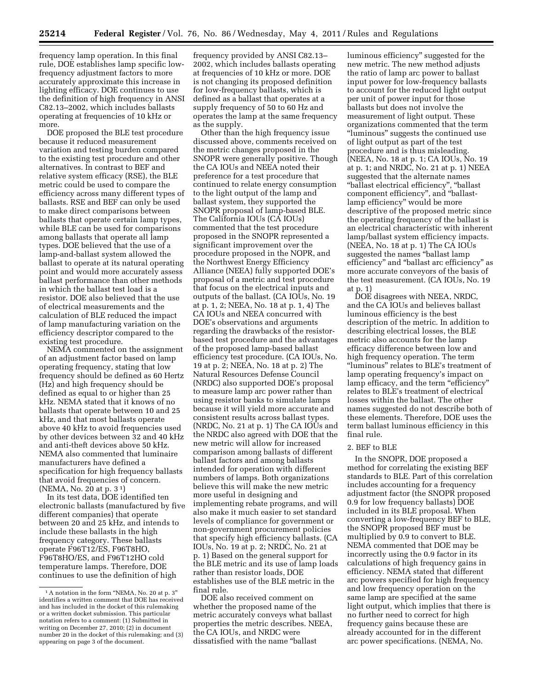frequency lamp operation. In this final rule, DOE establishes lamp specific lowfrequency adjustment factors to more accurately approximate this increase in lighting efficacy. DOE continues to use the definition of high frequency in ANSI C82.13–2002, which includes ballasts operating at frequencies of 10 kHz or more.

DOE proposed the BLE test procedure because it reduced measurement variation and testing burden compared to the existing test procedure and other alternatives. In contrast to BEF and relative system efficacy (RSE), the BLE metric could be used to compare the efficiency across many different types of ballasts. RSE and BEF can only be used to make direct comparisons between ballasts that operate certain lamp types, while BLE can be used for comparisons among ballasts that operate all lamp types. DOE believed that the use of a lamp-and-ballast system allowed the ballast to operate at its natural operating point and would more accurately assess ballast performance than other methods in which the ballast test load is a resistor. DOE also believed that the use of electrical measurements and the calculation of BLE reduced the impact of lamp manufacturing variation on the efficiency descriptor compared to the existing test procedure.

NEMA commented on the assignment of an adjustment factor based on lamp operating frequency, stating that low frequency should be defined as 60 Hertz (Hz) and high frequency should be defined as equal to or higher than 25 kHz. NEMA stated that it knows of no ballasts that operate between 10 and 25 kHz, and that most ballasts operate above 40 kHz to avoid frequencies used by other devices between 32 and 40 kHz and anti-theft devices above 50 kHz. NEMA also commented that luminaire manufacturers have defined a specification for high frequency ballasts that avoid frequencies of concern. (NEMA, No. 20 at p. 3 1)

In its test data, DOE identified ten electronic ballasts (manufactured by five different companies) that operate between 20 and 25 kHz, and intends to include these ballasts in the high frequency category. These ballasts operate F96T12/ES, F96T8HO, F96T8HO/ES, and F96T12HO cold temperature lamps. Therefore, DOE continues to use the definition of high

frequency provided by ANSI C82.13– 2002, which includes ballasts operating at frequencies of 10 kHz or more. DOE is not changing its proposed definition for low-frequency ballasts, which is defined as a ballast that operates at a supply frequency of 50 to 60 Hz and operates the lamp at the same frequency as the supply.

Other than the high frequency issue discussed above, comments received on the metric changes proposed in the SNOPR were generally positive. Though the CA IOUs and NEEA noted their preference for a test procedure that continued to relate energy consumption to the light output of the lamp and ballast system, they supported the SNOPR proposal of lamp-based BLE. The California IOUs (CA IOUs) commented that the test procedure proposed in the SNOPR represented a significant improvement over the procedure proposed in the NOPR, and the Northwest Energy Efficiency Alliance (NEEA) fully supported DOE's proposal of a metric and test procedure that focus on the electrical inputs and outputs of the ballast. (CA IOUs, No. 19 at p. 1, 2; NEEA, No. 18 at p. 1, 4) The CA IOUs and NEEA concurred with DOE's observations and arguments regarding the drawbacks of the resistorbased test procedure and the advantages of the proposed lamp-based ballast efficiency test procedure. (CA IOUs, No. 19 at p. 2; NEEA, No. 18 at p. 2) The Natural Resources Defense Council (NRDC) also supported DOE's proposal to measure lamp arc power rather than using resistor banks to simulate lamps because it will yield more accurate and consistent results across ballast types. (NRDC, No. 21 at p. 1) The CA IOUs and the NRDC also agreed with DOE that the new metric will allow for increased comparison among ballasts of different ballast factors and among ballasts intended for operation with different numbers of lamps. Both organizations believe this will make the new metric more useful in designing and implementing rebate programs, and will also make it much easier to set standard levels of compliance for government or non-government procurement policies that specify high efficiency ballasts. (CA IOUs, No. 19 at p. 2; NRDC, No. 21 at p. 1) Based on the general support for the BLE metric and its use of lamp loads rather than resistor loads, DOE establishes use of the BLE metric in the final rule.

DOE also received comment on whether the proposed name of the metric accurately conveys what ballast properties the metric describes. NEEA, the CA IOUs, and NRDC were dissatisfied with the name ''ballast

luminous efficiency'' suggested for the new metric. The new method adjusts the ratio of lamp arc power to ballast input power for low-frequency ballasts to account for the reduced light output per unit of power input for those ballasts but does not involve the measurement of light output. These organizations commented that the term ''luminous'' suggests the continued use of light output as part of the test procedure and is thus misleading. (NEEA, No. 18 at p. 1; CA IOUs, No. 19 at p. 1; and NRDC, No. 21 at p. 1) NEEA suggested that the alternate names ''ballast electrical efficiency'', ''ballast component efficiency'', and ''ballastlamp efficiency'' would be more descriptive of the proposed metric since the operating frequency of the ballast is an electrical characteristic with inherent lamp/ballast system efficiency impacts. (NEEA, No. 18 at p. 1) The CA IOUs suggested the names ''ballast lamp efficiency'' and ''ballast arc efficiency'' as more accurate conveyors of the basis of the test measurement. (CA IOUs, No. 19 at p. 1)

DOE disagrees with NEEA, NRDC, and the CA IOUs and believes ballast luminous efficiency is the best description of the metric. In addition to describing electrical losses, the BLE metric also accounts for the lamp efficacy difference between low and high frequency operation. The term ''luminous'' relates to BLE's treatment of lamp operating frequency's impact on lamp efficacy, and the term "efficiency" relates to BLE's treatment of electrical losses within the ballast. The other names suggested do not describe both of these elements. Therefore, DOE uses the term ballast luminous efficiency in this final rule.

#### 2. BEF to BLE

In the SNOPR, DOE proposed a method for correlating the existing BEF standards to BLE. Part of this correlation includes accounting for a frequency adjustment factor (the SNOPR proposed 0.9 for low frequency ballasts) DOE included in its BLE proposal. When converting a low-frequency BEF to BLE, the SNOPR proposed BEF must be multiplied by 0.9 to convert to BLE. NEMA commented that DOE may be incorrectly using the 0.9 factor in its calculations of high frequency gains in efficiency. NEMA stated that different arc powers specified for high frequency and low frequency operation on the same lamp are specified at the same light output, which implies that there is no further need to correct for high frequency gains because these are already accounted for in the different arc power specifications. (NEMA, No.

<sup>&</sup>lt;sup>1</sup> A notation in the form "NEMA, No. 20 at p. 3" identifies a written comment that DOE has received and has included in the docket of this rulemaking or a written docket submission. This particular notation refers to a comment: (1) Submitted in writing on December 27, 2010; (2) in document number 20 in the docket of this rulemaking; and (3) appearing on page 3 of the document.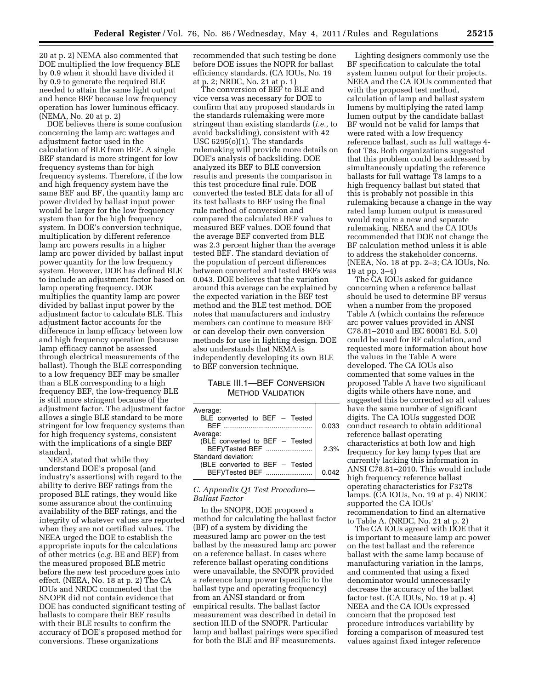20 at p. 2) NEMA also commented that DOE multiplied the low frequency BLE by 0.9 when it should have divided it by 0.9 to generate the required BLE needed to attain the same light output and hence BEF because low frequency operation has lower luminous efficacy. (NEMA, No. 20 at p. 2)

DOE believes there is some confusion concerning the lamp arc wattages and adjustment factor used in the calculation of BLE from BEF. A single BEF standard is more stringent for low frequency systems than for high frequency systems. Therefore, if the low and high frequency system have the same BEF and BF, the quantity lamp arc power divided by ballast input power would be larger for the low frequency system than for the high frequency system. In DOE's conversion technique, multiplication by different reference lamp arc powers results in a higher lamp arc power divided by ballast input power quantity for the low frequency system. However, DOE has defined BLE to include an adjustment factor based on lamp operating frequency. DOE multiplies the quantity lamp arc power divided by ballast input power by the adjustment factor to calculate BLE. This adjustment factor accounts for the difference in lamp efficacy between low and high frequency operation (because lamp efficacy cannot be assessed through electrical measurements of the ballast). Though the BLE corresponding to a low frequency BEF may be smaller than a BLE corresponding to a high frequency BEF, the low-frequency BLE is still more stringent because of the adjustment factor. The adjustment factor allows a single BLE standard to be more stringent for low frequency systems than for high frequency systems, consistent with the implications of a single BEF standard.

NEEA stated that while they understand DOE's proposal (and industry's assertions) with regard to the ability to derive BEF ratings from the proposed BLE ratings, they would like some assurance about the continuing availability of the BEF ratings, and the integrity of whatever values are reported when they are not certified values. The NEEA urged the DOE to establish the appropriate inputs for the calculations of other metrics (*e.g.* BE and BEF) from the measured proposed BLE metric before the new test procedure goes into effect. (NEEA, No. 18 at p. 2) The CA IOUs and NRDC commented that the SNOPR did not contain evidence that DOE has conducted significant testing of ballasts to compare their BEF results with their BLE results to confirm the accuracy of DOE's proposed method for conversions. These organizations

recommended that such testing be done before DOE issues the NOPR for ballast efficiency standards. (CA IOUs, No. 19 at p. 2; NRDC, No. 21 at p. 1)

The conversion of BEF to BLE and vice versa was necessary for DOE to confirm that any proposed standards in the standards rulemaking were more stringent than existing standards (*i.e.,* to avoid backsliding), consistent with 42 USC 6295(o)(1). The standards rulemaking will provide more details on DOE's analysis of backsliding. DOE analyzed its BEF to BLE conversion results and presents the comparison in this test procedure final rule. DOE converted the tested BLE data for all of its test ballasts to BEF using the final rule method of conversion and compared the calculated BEF values to measured BEF values. DOE found that the average BEF converted from BLE was 2.3 percent higher than the average tested BEF. The standard deviation of the population of percent differences between converted and tested BEFs was 0.043. DOE believes that the variation around this average can be explained by the expected variation in the BEF test method and the BLE test method. DOE notes that manufacturers and industry members can continue to measure BEF or can develop their own conversion methods for use in lighting design. DOE also understands that NEMA is independently developing its own BLE to BEF conversion technique.

# TABLE III.1—BEF CONVERSION METHOD VALIDATION

| Average:<br>BLE converted to BEF $-$ Tested<br>RFF            | 0.033 |
|---------------------------------------------------------------|-------|
| Average:<br>(BLE converted to BEF - Tested<br>BEF)/Tested BEF | 2.3%  |
| Standard deviation:<br>(BLE converted to BEF - Tested         |       |
| BEF)/Tested BEF                                               | 0.042 |

# *C. Appendix Q1 Test Procedure— Ballast Factor*

In the SNOPR, DOE proposed a method for calculating the ballast factor (BF) of a system by dividing the measured lamp arc power on the test ballast by the measured lamp arc power on a reference ballast. In cases where reference ballast operating conditions were unavailable, the SNOPR provided a reference lamp power (specific to the ballast type and operating frequency) from an ANSI standard or from empirical results. The ballast factor measurement was described in detail in section III.D of the SNOPR. Particular lamp and ballast pairings were specified for both the BLE and BF measurements.

Lighting designers commonly use the BF specification to calculate the total system lumen output for their projects. NEEA and the CA IOUs commented that with the proposed test method, calculation of lamp and ballast system lumens by multiplying the rated lamp lumen output by the candidate ballast BF would not be valid for lamps that were rated with a low frequency reference ballast, such as full wattage 4 foot T8s. Both organizations suggested that this problem could be addressed by simultaneously updating the reference ballasts for full wattage T8 lamps to a high frequency ballast but stated that this is probably not possible in this rulemaking because a change in the way rated lamp lumen output is measured would require a new and separate rulemaking. NEEA and the CA IOUs recommended that DOE not change the BF calculation method unless it is able to address the stakeholder concerns. (NEEA, No. 18 at pp. 2–3; CA IOUs, No. 19 at pp. 3–4)

The CA IOUs asked for guidance concerning when a reference ballast should be used to determine BF versus when a number from the proposed Table A (which contains the reference arc power values provided in ANSI C78.81–2010 and IEC 60081 Ed. 5.0) could be used for BF calculation, and requested more information about how the values in the Table A were developed. The CA IOUs also commented that some values in the proposed Table A have two significant digits while others have none, and suggested this be corrected so all values have the same number of significant digits. The CA IOUs suggested DOE conduct research to obtain additional reference ballast operating characteristics at both low and high frequency for key lamp types that are currently lacking this information in ANSI C78.81–2010. This would include high frequency reference ballast operating characteristics for F32T8 lamps. (CA IOUs, No. 19 at p. 4) NRDC supported the CA IOUs' recommendation to find an alternative to Table A. (NRDC, No. 21 at p. 2)

The CA IOUs agreed with DOE that it is important to measure lamp arc power on the test ballast and the reference ballast with the same lamp because of manufacturing variation in the lamps, and commented that using a fixed denominator would unnecessarily decrease the accuracy of the ballast factor test. (CA IOUs, No. 19 at p. 4) NEEA and the CA IOUs expressed concern that the proposed test procedure introduces variability by forcing a comparison of measured test values against fixed integer reference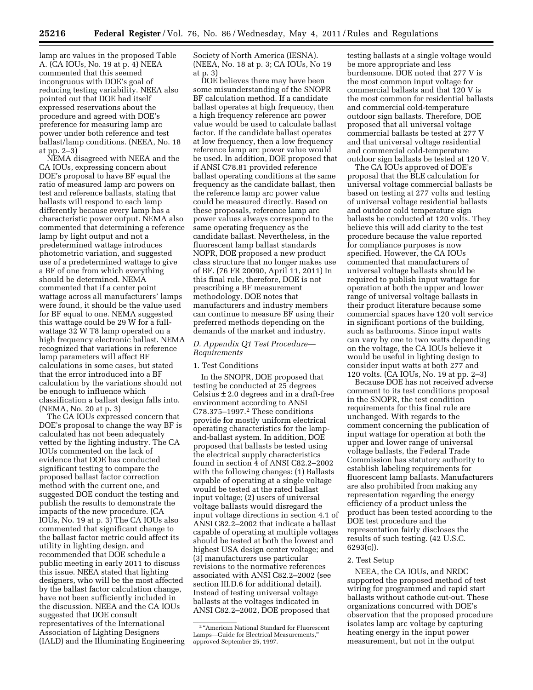lamp arc values in the proposed Table A. (CA IOUs, No. 19 at p. 4) NEEA commented that this seemed incongruous with DOE's goal of reducing testing variability. NEEA also pointed out that DOE had itself expressed reservations about the procedure and agreed with DOE's preference for measuring lamp arc power under both reference and test ballast/lamp conditions. (NEEA, No. 18 at pp. 2–3)

NEMA disagreed with NEEA and the CA IOUs, expressing concern about DOE's proposal to have BF equal the ratio of measured lamp arc powers on test and reference ballasts, stating that ballasts will respond to each lamp differently because every lamp has a characteristic power output. NEMA also commented that determining a reference lamp by light output and not a predetermined wattage introduces photometric variation, and suggested use of a predetermined wattage to give a BF of one from which everything should be determined. NEMA commented that if a center point wattage across all manufacturers' lamps were found, it should be the value used for BF equal to one. NEMA suggested this wattage could be 29 W for a fullwattage 32 W T8 lamp operated on a high frequency electronic ballast. NEMA recognized that variations in reference lamp parameters will affect BF calculations in some cases, but stated that the error introduced into a BF calculation by the variations should not be enough to influence which classification a ballast design falls into. (NEMA, No. 20 at p. 3)

The CA IOUs expressed concern that DOE's proposal to change the way BF is calculated has not been adequately vetted by the lighting industry. The CA IOUs commented on the lack of evidence that DOE has conducted significant testing to compare the proposed ballast factor correction method with the current one, and suggested DOE conduct the testing and publish the results to demonstrate the impacts of the new procedure. (CA IOUs, No. 19 at p. 3) The CA IOUs also commented that significant change to the ballast factor metric could affect its utility in lighting design, and recommended that DOE schedule a public meeting in early 2011 to discuss this issue. NEEA stated that lighting designers, who will be the most affected by the ballast factor calculation change, have not been sufficiently included in the discussion. NEEA and the CA IOUs suggested that DOE consult representatives of the International Association of Lighting Designers (IALD) and the Illuminating Engineering Society of North America (IESNA). (NEEA, No. 18 at p. 3; CA IOUs, No 19 at p. 3)

DOE believes there may have been some misunderstanding of the SNOPR BF calculation method. If a candidate ballast operates at high frequency, then a high frequency reference arc power value would be used to calculate ballast factor. If the candidate ballast operates at low frequency, then a low frequency reference lamp arc power value would be used. In addition, DOE proposed that if ANSI C78.81 provided reference ballast operating conditions at the same frequency as the candidate ballast, then the reference lamp arc power value could be measured directly. Based on these proposals, reference lamp arc power values always correspond to the same operating frequency as the candidate ballast. Nevertheless, in the fluorescent lamp ballast standards NOPR, DOE proposed a new product class structure that no longer makes use of BF. (76 FR 20090, April 11, 2011) In this final rule, therefore, DOE is not prescribing a BF measurement methodology. DOE notes that manufacturers and industry members can continue to measure BF using their preferred methods depending on the demands of the market and industry.

# *D. Appendix Q1 Test Procedure— Requirements*

# 1. Test Conditions

In the SNOPR, DOE proposed that testing be conducted at 25 degrees Celsius  $\pm 2.0$  degrees and in a draft-free environment according to ANSI C78.375–1997.2 These conditions provide for mostly uniform electrical operating characteristics for the lampand-ballast system. In addition, DOE proposed that ballasts be tested using the electrical supply characteristics found in section 4 of ANSI C82.2–2002 with the following changes: (1) Ballasts capable of operating at a single voltage would be tested at the rated ballast input voltage; (2) users of universal voltage ballasts would disregard the input voltage directions in section 4.1 of ANSI C82.2–2002 that indicate a ballast capable of operating at multiple voltages should be tested at both the lowest and highest USA design center voltage; and (3) manufacturers use particular revisions to the normative references associated with ANSI C82.2–2002 (see section III.D.6 for additional detail). Instead of testing universal voltage ballasts at the voltages indicated in ANSI C82.2–2002, DOE proposed that

testing ballasts at a single voltage would be more appropriate and less burdensome. DOE noted that 277 V is the most common input voltage for commercial ballasts and that 120 V is the most common for residential ballasts and commercial cold-temperature outdoor sign ballasts. Therefore, DOE proposed that all universal voltage commercial ballasts be tested at 277 V and that universal voltage residential and commercial cold-temperature outdoor sign ballasts be tested at 120 V.

The CA IOUs approved of DOE's proposal that the BLE calculation for universal voltage commercial ballasts be based on testing at 277 volts and testing of universal voltage residential ballasts and outdoor cold temperature sign ballasts be conducted at 120 volts. They believe this will add clarity to the test procedure because the value reported for compliance purposes is now specified. However, the CA IOUs commented that manufacturers of universal voltage ballasts should be required to publish input wattage for operation at both the upper and lower range of universal voltage ballasts in their product literature because some commercial spaces have 120 volt service in significant portions of the building, such as bathrooms. Since input watts can vary by one to two watts depending on the voltage, the CA IOUs believe it would be useful in lighting design to consider input watts at both 277 and 120 volts. (CA IOUs, No. 19 at pp. 2–3)

Because DOE has not received adverse comment to its test conditions proposal in the SNOPR, the test condition requirements for this final rule are unchanged. With regards to the comment concerning the publication of input wattage for operation at both the upper and lower range of universal voltage ballasts, the Federal Trade Commission has statutory authority to establish labeling requirements for fluorescent lamp ballasts. Manufacturers are also prohibited from making any representation regarding the energy efficiency of a product unless the product has been tested according to the DOE test procedure and the representation fairly discloses the results of such testing. (42 U.S.C. 6293(c)).

# 2. Test Setup

NEEA, the CA IOUs, and NRDC supported the proposed method of test wiring for programmed and rapid start ballasts without cathode cut-out. These organizations concurred with DOE's observation that the proposed procedure isolates lamp arc voltage by capturing heating energy in the input power measurement, but not in the output

<sup>&</sup>lt;sup>2</sup> "American National Standard for Fluorescent Lamps—Guide for Electrical Measurements,'' approved September 25, 1997.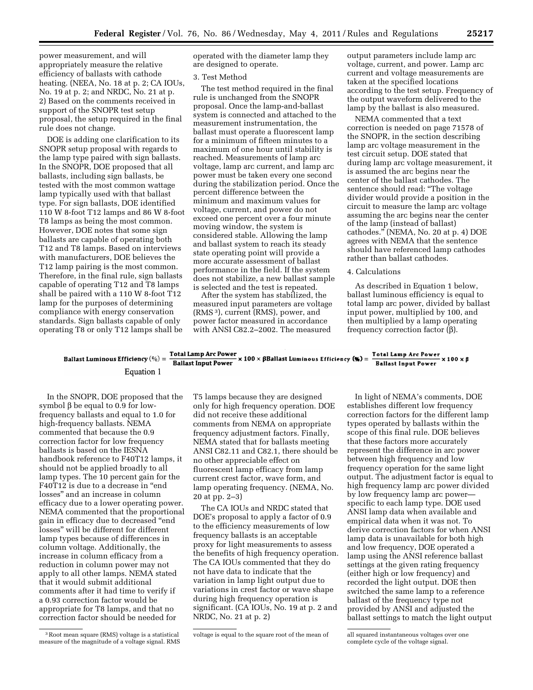power measurement, and will appropriately measure the relative efficiency of ballasts with cathode heating. (NEEA, No. 18 at p. 2; CA IOUs, No. 19 at p. 2; and NRDC, No. 21 at p. 2) Based on the comments received in support of the SNOPR test setup proposal, the setup required in the final rule does not change.

DOE is adding one clarification to its SNOPR setup proposal with regards to the lamp type paired with sign ballasts. In the SNOPR, DOE proposed that all ballasts, including sign ballasts, be tested with the most common wattage lamp typically used with that ballast type. For sign ballasts, DOE identified 110 W 8-foot T12 lamps and 86 W 8-foot T8 lamps as being the most common. However, DOE notes that some sign ballasts are capable of operating both T12 and T8 lamps. Based on interviews with manufacturers, DOE believes the T12 lamp pairing is the most common. Therefore, in the final rule, sign ballasts capable of operating T12 and T8 lamps shall be paired with a 110 W 8-foot T12 lamp for the purposes of determining compliance with energy conservation standards. Sign ballasts capable of only operating T8 or only T12 lamps shall be

operated with the diameter lamp they are designed to operate.

# 3. Test Method

The test method required in the final rule is unchanged from the SNOPR proposal. Once the lamp-and-ballast system is connected and attached to the measurement instrumentation, the ballast must operate a fluorescent lamp for a minimum of fifteen minutes to a maximum of one hour until stability is reached. Measurements of lamp arc voltage, lamp arc current, and lamp arc power must be taken every one second during the stabilization period. Once the percent difference between the minimum and maximum values for voltage, current, and power do not exceed one percent over a four minute moving window, the system is considered stable. Allowing the lamp and ballast system to reach its steady state operating point will provide a more accurate assessment of ballast performance in the field. If the system does not stabilize, a new ballast sample is selected and the test is repeated.

After the system has stabilized, the measured input parameters are voltage (RMS 3), current (RMS), power, and power factor measured in accordance with ANSI C82.2–2002. The measured

output parameters include lamp arc voltage, current, and power. Lamp arc current and voltage measurements are taken at the specified locations according to the test setup. Frequency of the output waveform delivered to the lamp by the ballast is also measured.

NEMA commented that a text correction is needed on page 71578 of the SNOPR, in the section describing lamp arc voltage measurement in the test circuit setup. DOE stated that during lamp arc voltage measurement, it is assumed the arc begins near the center of the ballast cathodes. The sentence should read: ''The voltage divider would provide a position in the circuit to measure the lamp arc voltage assuming the arc begins near the center of the lamp (instead of ballast) cathodes.'' (NEMA, No. 20 at p. 4) DOE agrees with NEMA that the sentence should have referenced lamp cathodes rather than ballast cathodes.

# 4. Calculations

As described in Equation 1 below, ballast luminous efficiency is equal to total lamp arc power, divided by ballast input power, multiplied by 100, and then multiplied by a lamp operating frequency correction factor  $(\beta)$ .

# Ballast Luminous Efficiency (%) =  $\frac{\text{Total Lamp Arc Power}}{\text{Ballast Input Power}} \times 100 \times \beta$ Ballast Luminous Efficiency (%) =  $\frac{\text{Total Lamp Arc Power}}{\text{Ballast Input Power}} \times 100 \times \beta$ Equation 1

In the SNOPR, DOE proposed that the symbol  $\beta$  be equal to 0.9 for lowfrequency ballasts and equal to 1.0 for high-frequency ballasts. NEMA commented that because the 0.9 correction factor for low frequency ballasts is based on the IESNA handbook reference to F40T12 lamps, it should not be applied broadly to all lamp types. The 10 percent gain for the F40T12 is due to a decrease in "end losses'' and an increase in column efficacy due to a lower operating power. NEMA commented that the proportional gain in efficacy due to decreased ''end losses'' will be different for different lamp types because of differences in column voltage. Additionally, the increase in column efficacy from a reduction in column power may not apply to all other lamps. NEMA stated that it would submit additional comments after it had time to verify if a 0.93 correction factor would be appropriate for T8 lamps, and that no correction factor should be needed for

T5 lamps because they are designed only for high frequency operation. DOE did not receive these additional comments from NEMA on appropriate frequency adjustment factors. Finally, NEMA stated that for ballasts meeting ANSI C82.11 and C82.1, there should be no other appreciable effect on fluorescent lamp efficacy from lamp current crest factor, wave form, and lamp operating frequency. (NEMA, No. 20 at pp. 2–3)

The CA IOUs and NRDC stated that DOE's proposal to apply a factor of 0.9 to the efficiency measurements of low frequency ballasts is an acceptable proxy for light measurements to assess the benefits of high frequency operation. The CA IOUs commented that they do not have data to indicate that the variation in lamp light output due to variations in crest factor or wave shape during high frequency operation is significant. (CA IOUs, No. 19 at p. 2 and NRDC, No. 21 at p. 2)

In light of NEMA's comments, DOE establishes different low frequency correction factors for the different lamp types operated by ballasts within the scope of this final rule. DOE believes that these factors more accurately represent the difference in arc power between high frequency and low frequency operation for the same light output. The adjustment factor is equal to high frequency lamp arc power divided by low frequency lamp arc power specific to each lamp type. DOE used ANSI lamp data when available and empirical data when it was not. To derive correction factors for when ANSI lamp data is unavailable for both high and low frequency, DOE operated a lamp using the ANSI reference ballast settings at the given rating frequency (either high or low frequency) and recorded the light output. DOE then switched the same lamp to a reference ballast of the frequency type not provided by ANSI and adjusted the ballast settings to match the light output

<sup>3</sup>Root mean square (RMS) voltage is a statistical measure of the magnitude of a voltage signal. RMS

voltage is equal to the square root of the mean of all squared instantaneous voltages over one

complete cycle of the voltage signal.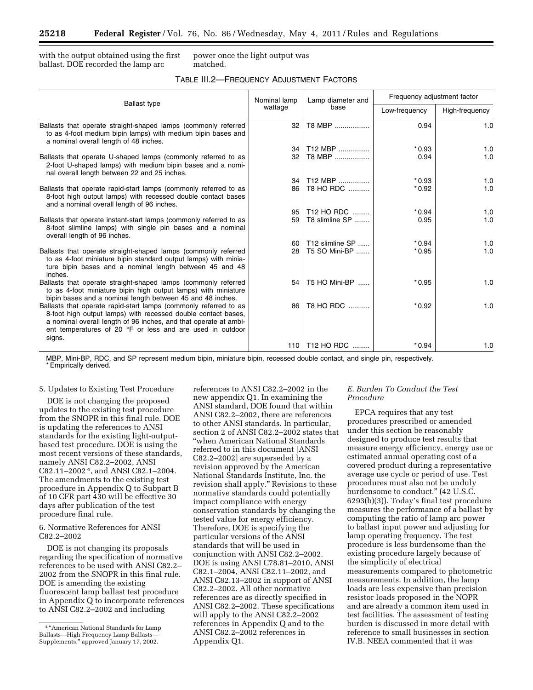with the output obtained using the first ballast. DOE recorded the lamp arc

power once the light output was matched.

| TABLE III.2-FREQUENCY ADJUSTMENT FACTORS |  |
|------------------------------------------|--|
|------------------------------------------|--|

| <b>Ballast type</b>                                                                                                                                                                                                                                                          | Nominal lamp<br>wattage | Lamp diameter and<br>base | Frequency adjustment factor |                |
|------------------------------------------------------------------------------------------------------------------------------------------------------------------------------------------------------------------------------------------------------------------------------|-------------------------|---------------------------|-----------------------------|----------------|
|                                                                                                                                                                                                                                                                              |                         |                           | Low-frequency               | High-frequency |
| Ballasts that operate straight-shaped lamps (commonly referred<br>to as 4-foot medium bipin lamps) with medium bipin bases and<br>a nominal overall length of 48 inches.                                                                                                     | 32                      | T8 MBP                    | 0.94                        | 1.0            |
|                                                                                                                                                                                                                                                                              | 34                      | T12 MBP                   | $*0.93$                     | 1.0            |
| Ballasts that operate U-shaped lamps (commonly referred to as<br>2-foot U-shaped lamps) with medium bipin bases and a nomi-<br>nal overall length between 22 and 25 inches.                                                                                                  | 32                      | T8 MBP                    | 0.94                        | 1.0            |
|                                                                                                                                                                                                                                                                              | 34                      | T12 MBP                   | $*0.93$                     | 1.0            |
| Ballasts that operate rapid-start lamps (commonly referred to as<br>8-foot high output lamps) with recessed double contact bases<br>and a nominal overall length of 96 inches.                                                                                               | 86                      | T8 HO RDC                 | $*0.92$                     | 1.0            |
|                                                                                                                                                                                                                                                                              | 95                      | T12 HO RDC                | $*0.94$                     | 1.0            |
| Ballasts that operate instant-start lamps (commonly referred to as<br>8-foot slimline lamps) with single pin bases and a nominal<br>overall length of 96 inches.                                                                                                             | 59                      | T8 slimline SP            | 0.95                        | 1.0            |
|                                                                                                                                                                                                                                                                              | 60                      | T12 slimline SP           | $*0.94$                     | 1.0            |
| Ballasts that operate straight-shaped lamps (commonly referred<br>to as 4-foot miniature bipin standard output lamps) with minia-<br>ture bipin bases and a nominal length between 45 and 48<br>inches.                                                                      | 28                      | T5 SO Mini-BP             | $*0.95$                     | 1.0            |
| Ballasts that operate straight-shaped lamps (commonly referred<br>to as 4-foot miniature bipin high output lamps) with miniature<br>bipin bases and a nominal length between 45 and 48 inches.                                                                               | 54                      | T5 HO Mini-BP             | $*0.95$                     | 1.0            |
| Ballasts that operate rapid-start lamps (commonly referred to as<br>8-foot high output lamps) with recessed double contact bases,<br>a nominal overall length of 96 inches, and that operate at ambi-<br>ent temperatures of 20 °F or less and are used in outdoor<br>signs. | 86                      | T8 HO RDC                 | $*0.92$                     | 1.0            |
|                                                                                                                                                                                                                                                                              |                         | 110   T12 HO RDC          | $*0.94$                     | 1.0            |

MBP, Mini-BP, RDC, and SP represent medium bipin, miniature bipin, recessed double contact, and single pin, respectively. \* Empirically derived.

#### 5. Updates to Existing Test Procedure

DOE is not changing the proposed updates to the existing test procedure from the SNOPR in this final rule. DOE is updating the references to ANSI standards for the existing light-outputbased test procedure. DOE is using the most recent versions of these standards, namely ANSI C82.2–2002, ANSI C82.11–2002 4, and ANSI C82.1–2004. The amendments to the existing test procedure in Appendix Q to Subpart B of 10 CFR part 430 will be effective 30 days after publication of the test procedure final rule.

6. Normative References for ANSI C82.2–2002

DOE is not changing its proposals regarding the specification of normative references to be used with ANSI C82.2– 2002 from the SNOPR in this final rule. DOE is amending the existing fluorescent lamp ballast test procedure in Appendix Q to incorporate references to ANSI C82.2–2002 and including

references to ANSI C82.2–2002 in the new appendix Q1. In examining the ANSI standard, DOE found that within ANSI C82.2–2002, there are references to other ANSI standards. In particular, section 2 of ANSI C82.2–2002 states that ''when American National Standards referred to in this document [ANSI C82.2–2002] are superseded by a revision approved by the American National Standards Institute, Inc. the revision shall apply.'' Revisions to these normative standards could potentially impact compliance with energy conservation standards by changing the tested value for energy efficiency. Therefore, DOE is specifying the particular versions of the ANSI standards that will be used in conjunction with ANSI C82.2–2002. DOE is using ANSI C78.81–2010, ANSI C82.1–2004, ANSI C82.11–2002, and ANSI C82.13–2002 in support of ANSI C82.2–2002. All other normative references are as directly specified in ANSI C82.2–2002. These specifications will apply to the ANSI C82.2–2002 references in Appendix Q and to the ANSI C82.2–2002 references in Appendix Q1.

# *E. Burden To Conduct the Test Procedure*

EPCA requires that any test procedures prescribed or amended under this section be reasonably designed to produce test results that measure energy efficiency, energy use or estimated annual operating cost of a covered product during a representative average use cycle or period of use. Test procedures must also not be unduly burdensome to conduct.'' (42 U.S.C. 6293(b)(3)). Today's final test procedure measures the performance of a ballast by computing the ratio of lamp arc power to ballast input power and adjusting for lamp operating frequency. The test procedure is less burdensome than the existing procedure largely because of the simplicity of electrical measurements compared to photometric measurements. In addition, the lamp loads are less expensive than precision resistor loads proposed in the NOPR and are already a common item used in test facilities. The assessment of testing burden is discussed in more detail with reference to small businesses in section IV.B. NEEA commented that it was

<sup>4</sup> ''American National Standards for Lamp Ballasts—High Frequency Lamp Ballasts— Supplements,'' approved January 17, 2002.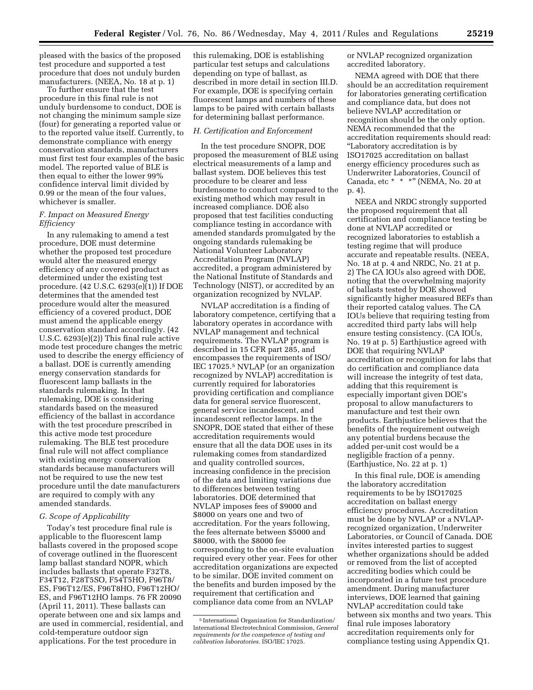pleased with the basics of the proposed test procedure and supported a test procedure that does not unduly burden manufacturers. (NEEA, No. 18 at p. 1)

To further ensure that the test procedure in this final rule is not unduly burdensome to conduct, DOE is not changing the minimum sample size (four) for generating a reported value or to the reported value itself. Currently, to demonstrate compliance with energy conservation standards, manufacturers must first test four examples of the basic model. The reported value of BLE is then equal to either the lower 99% confidence interval limit divided by 0.99 or the mean of the four values, whichever is smaller.

# *F. Impact on Measured Energy Efficiency*

In any rulemaking to amend a test procedure, DOE must determine whether the proposed test procedure would alter the measured energy efficiency of any covered product as determined under the existing test procedure. (42 U.S.C. 6293(e)(1)) If DOE determines that the amended test procedure would alter the measured efficiency of a covered product, DOE must amend the applicable energy conservation standard accordingly. (42 U.S.C. 6293(e)(2)) This final rule active mode test procedure changes the metric used to describe the energy efficiency of a ballast. DOE is currently amending energy conservation standards for fluorescent lamp ballasts in the standards rulemaking. In that rulemaking, DOE is considering standards based on the measured efficiency of the ballast in accordance with the test procedure prescribed in this active mode test procedure rulemaking. The BLE test procedure final rule will not affect compliance with existing energy conservation standards because manufacturers will not be required to use the new test procedure until the date manufacturers are required to comply with any amended standards.

# *G. Scope of Applicability*

Today's test procedure final rule is applicable to the fluorescent lamp ballasts covered in the proposed scope of coverage outlined in the fluorescent lamp ballast standard NOPR, which includes ballasts that operate F32T8, F34T12, F28T5SO, F54T5HO, F96T8/ ES, F96T12/ES, F96T8HO, F96T12HO/ ES, and F96T12HO lamps. 76 FR 20090 (April 11, 2011). These ballasts can operate between one and six lamps and are used in commercial, residential, and cold-temperature outdoor sign applications. For the test procedure in

this rulemaking, DOE is establishing particular test setups and calculations depending on type of ballast, as described in more detail in section III.D. For example, DOE is specifying certain fluorescent lamps and numbers of these lamps to be paired with certain ballasts for determining ballast performance.

# *H. Certification and Enforcement*

In the test procedure SNOPR, DOE proposed the measurement of BLE using electrical measurements of a lamp and ballast system. DOE believes this test procedure to be clearer and less burdensome to conduct compared to the existing method which may result in increased compliance. DOE also proposed that test facilities conducting compliance testing in accordance with amended standards promulgated by the ongoing standards rulemaking be National Volunteer Laboratory Accreditation Program (NVLAP) accredited, a program administered by the National Institute of Standards and Technology (NIST), or accredited by an organization recognized by NVLAP.

NVLAP accreditation is a finding of laboratory competence, certifying that a laboratory operates in accordance with NVLAP management and technical requirements. The NVLAP program is described in 15 CFR part 285, and encompasses the requirements of ISO/ IEC 17025.5 NVLAP (or an organization recognized by NVLAP) accreditation is currently required for laboratories providing certification and compliance data for general service fluorescent, general service incandescent, and incandescent reflector lamps. In the SNOPR, DOE stated that either of these accreditation requirements would ensure that all the data DOE uses in its rulemaking comes from standardized and quality controlled sources, increasing confidence in the precision of the data and limiting variations due to differences between testing laboratories. DOE determined that NVLAP imposes fees of \$9000 and \$8000 on years one and two of accreditation. For the years following, the fees alternate between \$5000 and \$8000, with the \$8000 fee corresponding to the on-site evaluation required every other year. Fees for other accreditation organizations are expected to be similar. DOE invited comment on the benefits and burden imposed by the requirement that certification and compliance data come from an NVLAP

or NVLAP recognized organization accredited laboratory.

NEMA agreed with DOE that there should be an accreditation requirement for laboratories generating certification and compliance data, but does not believe NVLAP accreditation or recognition should be the only option. NEMA recommended that the accreditation requirements should read: ''Laboratory accreditation is by ISO17025 accreditation on ballast energy efficiency procedures such as Underwriter Laboratories, Council of Canada, etc \* \* \*" (NEMA, No. 20 at p. 4).

NEEA and NRDC strongly supported the proposed requirement that all certification and compliance testing be done at NVLAP accredited or recognized laboratories to establish a testing regime that will produce accurate and repeatable results. (NEEA, No. 18 at p. 4 and NRDC, No. 21 at p. 2) The CA IOUs also agreed with DOE, noting that the overwhelming majority of ballasts tested by DOE showed significantly higher measured BEFs than their reported catalog values. The CA IOUs believe that requiring testing from accredited third party labs will help ensure testing consistency. (CA IOUs, No. 19 at p. 5) Earthjustice agreed with DOE that requiring NVLAP accreditation or recognition for labs that do certification and compliance data will increase the integrity of test data, adding that this requirement is especially important given DOE's proposal to allow manufacturers to manufacture and test their own products. Earthjustice believes that the benefits of the requirement outweigh any potential burdens because the added per-unit cost would be a negligible fraction of a penny. (Earthjustice, No. 22 at p. 1)

In this final rule, DOE is amending the laboratory accreditation requirements to be by ISO17025 accreditation on ballast energy efficiency procedures. Accreditation must be done by NVLAP or a NVLAPrecognized organization, Underwriter Laboratories, or Council of Canada. DOE invites interested parties to suggest whether organizations should be added or removed from the list of accepted accrediting bodies which could be incorporated in a future test procedure amendment. During manufacturer interviews, DOE learned that gaining NVLAP accreditation could take between six months and two years. This final rule imposes laboratory accreditation requirements only for compliance testing using Appendix Q1.

<sup>5</sup> International Organization for Standardization/ International Electrotechnical Commission, *General requirements for the competence of testing and calibration laboratories.* ISO/IEC 17025.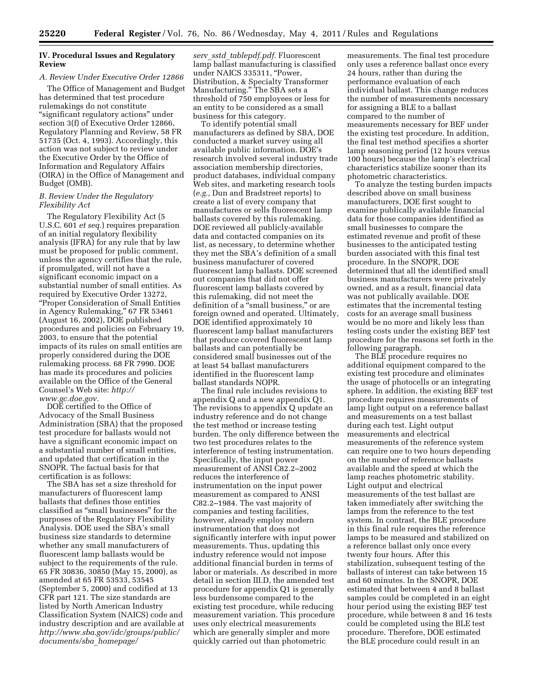# **IV. Procedural Issues and Regulatory Review**

#### *A. Review Under Executive Order 12866*

The Office of Management and Budget has determined that test procedure rulemakings do not constitute ''significant regulatory actions'' under section 3(f) of Executive Order 12866, Regulatory Planning and Review, 58 FR 51735 (Oct. 4, 1993). Accordingly, this action was not subject to review under the Executive Order by the Office of Information and Regulatory Affairs (OIRA) in the Office of Management and Budget (OMB).

# *B. Review Under the Regulatory Flexibility Act*

The Regulatory Flexibility Act (5 U.S.C. 601 *et seq.*) requires preparation of an initial regulatory flexibility analysis (IFRA) for any rule that by law must be proposed for public comment, unless the agency certifies that the rule, if promulgated, will not have a significant economic impact on a substantial number of small entities. As required by Executive Order 13272, ''Proper Consideration of Small Entities in Agency Rulemaking,'' 67 FR 53461 (August 16, 2002), DOE published procedures and policies on February 19, 2003, to ensure that the potential impacts of its rules on small entities are properly considered during the DOE rulemaking process. 68 FR 7990. DOE has made its procedures and policies available on the Office of the General Counsel's Web site: *[http://](http://www.gc.doe.gov) [www.gc.doe.gov.](http://www.gc.doe.gov)* 

DOE certified to the Office of Advocacy of the Small Business Administration (SBA) that the proposed test procedure for ballasts would not have a significant economic impact on a substantial number of small entities, and updated that certification in the SNOPR. The factual basis for that certification is as follows:

The SBA has set a size threshold for manufacturers of fluorescent lamp ballasts that defines those entities classified as ''small businesses'' for the purposes of the Regulatory Flexibility Analysis. DOE used the SBA's small business size standards to determine whether any small manufacturers of fluorescent lamp ballasts would be subject to the requirements of the rule. 65 FR 30836, 30850 (May 15, 2000), as amended at 65 FR 53533, 53545 (September 5, 2000) and codified at 13 CFR part 121. The size standards are listed by North American Industry Classification System (NAICS) code and industry description and are available at *[http://www.sba.gov/idc/groups/public/](http://www.sba.gov/idc/groups/public/documents/sba_homepage/serv_sstd_tablepdf.pdf) [documents/sba](http://www.sba.gov/idc/groups/public/documents/sba_homepage/serv_sstd_tablepdf.pdf)*\_*homepage/* 

*serv*\_*sstd*\_*[tablepdf.pdf.](http://www.sba.gov/idc/groups/public/documents/sba_homepage/serv_sstd_tablepdf.pdf)* Fluorescent lamp ballast manufacturing is classified under NAICS 335311, ''Power, Distribution, & Specialty Transformer Manufacturing.'' The SBA sets a threshold of 750 employees or less for an entity to be considered as a small business for this category.

To identify potential small manufacturers as defined by SBA, DOE conducted a market survey using all available public information. DOE's research involved several industry trade association membership directories, product databases, individual company Web sites, and marketing research tools (*e.g.,* Dun and Bradstreet reports) to create a list of every company that manufactures or sells fluorescent lamp ballasts covered by this rulemaking. DOE reviewed all publicly-available data and contacted companies on its list, as necessary, to determine whether they met the SBA's definition of a small business manufacturer of covered fluorescent lamp ballasts. DOE screened out companies that did not offer fluorescent lamp ballasts covered by this rulemaking, did not meet the definition of a "small business," or are foreign owned and operated. Ultimately, DOE identified approximately 10 fluorescent lamp ballast manufacturers that produce covered fluorescent lamp ballasts and can potentially be considered small businesses out of the at least 54 ballast manufacturers identified in the fluorescent lamp ballast standards NOPR.

The final rule includes revisions to appendix Q and a new appendix Q1. The revisions to appendix Q update an industry reference and do not change the test method or increase testing burden. The only difference between the two test procedures relates to the interference of testing instrumentation. Specifically, the input power measurement of ANSI C82.2–2002 reduces the interference of instrumentation on the input power measurement as compared to ANSI C82.2–1984. The vast majority of companies and testing facilities, however, already employ modern instrumentation that does not significantly interfere with input power measurements. Thus, updating this industry reference would not impose additional financial burden in terms of labor or materials. As described in more detail in section III.D, the amended test procedure for appendix Q1 is generally less burdensome compared to the existing test procedure, while reducing measurement variation. This procedure uses only electrical measurements which are generally simpler and more quickly carried out than photometric

measurements. The final test procedure only uses a reference ballast once every 24 hours, rather than during the performance evaluation of each individual ballast. This change reduces the number of measurements necessary for assigning a BLE to a ballast compared to the number of measurements necessary for BEF under the existing test procedure. In addition, the final test method specifies a shorter lamp seasoning period (12 hours versus 100 hours) because the lamp's electrical characteristics stabilize sooner than its photometric characteristics.

To analyze the testing burden impacts described above on small business manufacturers, DOE first sought to examine publically available financial data for those companies identified as small businesses to compare the estimated revenue and profit of these businesses to the anticipated testing burden associated with this final test procedure. In the SNOPR, DOE determined that all the identified small business manufacturers were privately owned, and as a result, financial data was not publically available. DOE estimates that the incremental testing costs for an average small business would be no more and likely less than testing costs under the existing BEF test procedure for the reasons set forth in the following paragraph.

The BLE procedure requires no additional equipment compared to the existing test procedure and eliminates the usage of photocells or an integrating sphere. In addition, the existing BEF test procedure requires measurements of lamp light output on a reference ballast and measurements on a test ballast during each test. Light output measurements and electrical measurements of the reference system can require one to two hours depending on the number of reference ballasts available and the speed at which the lamp reaches photometric stability. Light output and electrical measurements of the test ballast are taken immediately after switching the lamps from the reference to the test system. In contrast, the BLE procedure in this final rule requires the reference lamps to be measured and stabilized on a reference ballast only once every twenty four hours. After this stabilization, subsequent testing of the ballasts of interest can take between 15 and 60 minutes. In the SNOPR, DOE estimated that between 4 and 8 ballast samples could be completed in an eight hour period using the existing BEF test procedure, while between 8 and 16 tests could be completed using the BLE test procedure. Therefore, DOE estimated the BLE procedure could result in an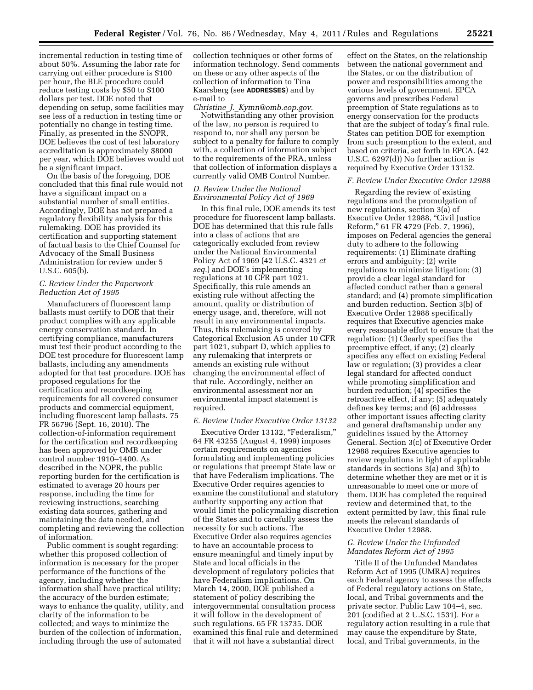incremental reduction in testing time of about 50%. Assuming the labor rate for carrying out either procedure is \$100 per hour, the BLE procedure could reduce testing costs by \$50 to \$100 dollars per test. DOE noted that depending on setup, some facilities may see less of a reduction in testing time or potentially no change in testing time. Finally, as presented in the SNOPR, DOE believes the cost of test laboratory accreditation is approximately \$8000 per year, which DOE believes would not be a significant impact.

On the basis of the foregoing, DOE concluded that this final rule would not have a significant impact on a substantial number of small entities. Accordingly, DOE has not prepared a regulatory flexibility analysis for this rulemaking. DOE has provided its certification and supporting statement of factual basis to the Chief Counsel for Advocacy of the Small Business Administration for review under 5 U.S.C. 605(b).

# *C. Review Under the Paperwork Reduction Act of 1995*

Manufacturers of fluorescent lamp ballasts must certify to DOE that their product complies with any applicable energy conservation standard. In certifying compliance, manufacturers must test their product according to the DOE test procedure for fluorescent lamp ballasts, including any amendments adopted for that test procedure. DOE has proposed regulations for the certification and recordkeeping requirements for all covered consumer products and commercial equipment, including fluorescent lamp ballasts. 75 FR 56796 (Sept. 16, 2010). The collection-of-information requirement for the certification and recordkeeping has been approved by OMB under control number 1910–1400. As described in the NOPR, the public reporting burden for the certification is estimated to average 20 hours per response, including the time for reviewing instructions, searching existing data sources, gathering and maintaining the data needed, and completing and reviewing the collection of information.

Public comment is sought regarding: whether this proposed collection of information is necessary for the proper performance of the functions of the agency, including whether the information shall have practical utility; the accuracy of the burden estimate; ways to enhance the quality, utility, and clarity of the information to be collected; and ways to minimize the burden of the collection of information, including through the use of automated

collection techniques or other forms of information technology. Send comments on these or any other aspects of the collection of information to Tina Kaarsberg (see **ADDRESSES**) and by e-mail to

# *Christine*\_*J.*\_*[Kymn@omb.eop.gov](mailto:Christine_J._Kymn@omb.eop.gov)*.

Notwithstanding any other provision of the law, no person is required to respond to, nor shall any person be subject to a penalty for failure to comply with, a collection of information subject to the requirements of the PRA, unless that collection of information displays a currently valid OMB Control Number.

## *D. Review Under the National Environmental Policy Act of 1969*

In this final rule, DOE amends its test procedure for fluorescent lamp ballasts. DOE has determined that this rule falls into a class of actions that are categorically excluded from review under the National Environmental Policy Act of 1969 (42 U.S.C. 4321 *et seq.*) and DOE's implementing regulations at 10 CFR part 1021. Specifically, this rule amends an existing rule without affecting the amount, quality or distribution of energy usage, and, therefore, will not result in any environmental impacts. Thus, this rulemaking is covered by Categorical Exclusion A5 under 10 CFR part 1021, subpart D, which applies to any rulemaking that interprets or amends an existing rule without changing the environmental effect of that rule. Accordingly, neither an environmental assessment nor an environmental impact statement is required.

# *E. Review Under Executive Order 13132*

Executive Order 13132, "Federalism," 64 FR 43255 (August 4, 1999) imposes certain requirements on agencies formulating and implementing policies or regulations that preempt State law or that have Federalism implications. The Executive Order requires agencies to examine the constitutional and statutory authority supporting any action that would limit the policymaking discretion of the States and to carefully assess the necessity for such actions. The Executive Order also requires agencies to have an accountable process to ensure meaningful and timely input by State and local officials in the development of regulatory policies that have Federalism implications. On March 14, 2000, DOE published a statement of policy describing the intergovernmental consultation process it will follow in the development of such regulations. 65 FR 13735. DOE examined this final rule and determined that it will not have a substantial direct

effect on the States, on the relationship between the national government and the States, or on the distribution of power and responsibilities among the various levels of government. EPCA governs and prescribes Federal preemption of State regulations as to energy conservation for the products that are the subject of today's final rule. States can petition DOE for exemption from such preemption to the extent, and based on criteria, set forth in EPCA. (42 U.S.C. 6297(d)) No further action is required by Executive Order 13132.

#### *F. Review Under Executive Order 12988*

Regarding the review of existing regulations and the promulgation of new regulations, section 3(a) of Executive Order 12988, ''Civil Justice Reform,'' 61 FR 4729 (Feb. 7, 1996), imposes on Federal agencies the general duty to adhere to the following requirements: (1) Eliminate drafting errors and ambiguity; (2) write regulations to minimize litigation; (3) provide a clear legal standard for affected conduct rather than a general standard; and (4) promote simplification and burden reduction. Section 3(b) of Executive Order 12988 specifically requires that Executive agencies make every reasonable effort to ensure that the regulation: (1) Clearly specifies the preemptive effect, if any; (2) clearly specifies any effect on existing Federal law or regulation; (3) provides a clear legal standard for affected conduct while promoting simplification and burden reduction; (4) specifies the retroactive effect, if any; (5) adequately defines key terms; and (6) addresses other important issues affecting clarity and general draftsmanship under any guidelines issued by the Attorney General. Section 3(c) of Executive Order 12988 requires Executive agencies to review regulations in light of applicable standards in sections 3(a) and 3(b) to determine whether they are met or it is unreasonable to meet one or more of them. DOE has completed the required review and determined that, to the extent permitted by law, this final rule meets the relevant standards of Executive Order 12988.

# *G. Review Under the Unfunded Mandates Reform Act of 1995*

Title II of the Unfunded Mandates Reform Act of 1995 (UMRA) requires each Federal agency to assess the effects of Federal regulatory actions on State, local, and Tribal governments and the private sector. Public Law 104–4, sec. 201 (codified at 2 U.S.C. 1531). For a regulatory action resulting in a rule that may cause the expenditure by State, local, and Tribal governments, in the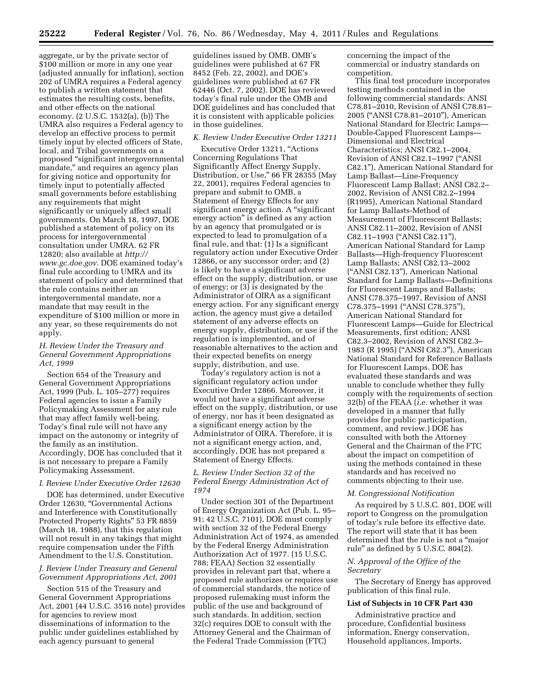aggregate, or by the private sector of \$100 million or more in any one year (adjusted annually for inflation), section 202 of UMRA requires a Federal agency to publish a written statement that estimates the resulting costs, benefits, and other effects on the national economy. (2 U.S.C. 1532(a), (b)) The UMRA also requires a Federal agency to develop an effective process to permit timely input by elected officers of State, local, and Tribal governments on a proposed ''significant intergovernmental mandate," and requires an agency plan for giving notice and opportunity for timely input to potentially affected small governments before establishing any requirements that might significantly or uniquely affect small governments. On March 18, 1997, DOE published a statement of policy on its process for intergovernmental consultation under UMRA. 62 FR 12820; also available at *[http://](http://www.gc.doe.gov)  [www.gc.doe.gov.](http://www.gc.doe.gov)* DOE examined today's final rule according to UMRA and its statement of policy and determined that the rule contains neither an intergovernmental mandate, nor a mandate that may result in the expenditure of \$100 million or more in any year, so these requirements do not apply.

# *H. Review Under the Treasury and General Government Appropriations Act, 1999*

Section 654 of the Treasury and General Government Appropriations Act, 1999 (Pub. L. 105–277) requires Federal agencies to issue a Family Policymaking Assessment for any rule that may affect family well-being. Today's final rule will not have any impact on the autonomy or integrity of the family as an institution. Accordingly, DOE has concluded that it is not necessary to prepare a Family Policymaking Assessment.

#### *I. Review Under Executive Order 12630*

DOE has determined, under Executive Order 12630, ''Governmental Actions and Interference with Constitutionally Protected Property Rights'' 53 FR 8859 (March 18, 1988), that this regulation will not result in any takings that might require compensation under the Fifth Amendment to the U.S. Constitution.

# *J. Review Under Treasury and General Government Appropriations Act, 2001*

Section 515 of the Treasury and General Government Appropriations Act, 2001 (44 U.S.C. 3516 note) provides for agencies to review most disseminations of information to the public under guidelines established by each agency pursuant to general

guidelines issued by OMB. OMB's guidelines were published at 67 FR 8452 (Feb. 22, 2002), and DOE's guidelines were published at 67 FR 62446 (Oct. 7, 2002). DOE has reviewed today's final rule under the OMB and DOE guidelines and has concluded that it is consistent with applicable policies in those guidelines.

#### *K. Review Under Executive Order 13211*

Executive Order 13211, "Actions Concerning Regulations That Significantly Affect Energy Supply, Distribution, or Use,'' 66 FR 28355 (May 22, 2001), requires Federal agencies to prepare and submit to OMB, a Statement of Energy Effects for any significant energy action. A ''significant energy action'' is defined as any action by an agency that promulgated or is expected to lead to promulgation of a final rule, and that: (1) Is a significant regulatory action under Executive Order 12866, or any successor order; and (2) is likely to have a significant adverse effect on the supply, distribution, or use of energy; or (3) is designated by the Administrator of OIRA as a significant energy action. For any significant energy action, the agency must give a detailed statement of any adverse effects on energy supply, distribution, or use if the regulation is implemented, and of reasonable alternatives to the action and their expected benefits on energy supply, distribution, and use.

Today's regulatory action is not a significant regulatory action under Executive Order 12866. Moreover, it would not have a significant adverse effect on the supply, distribution, or use of energy, nor has it been designated as a significant energy action by the Administrator of OIRA. Therefore, it is not a significant energy action, and, accordingly, DOE has not prepared a Statement of Energy Effects.

# *L. Review Under Section 32 of the Federal Energy Administration Act of 1974*

Under section 301 of the Department of Energy Organization Act (Pub. L. 95– 91; 42 U.S.C. 7101), DOE must comply with section 32 of the Federal Energy Administration Act of 1974, as amended by the Federal Energy Administration Authorization Act of 1977. (15 U.S.C. 788; FEAA) Section 32 essentially provides in relevant part that, where a proposed rule authorizes or requires use of commercial standards, the notice of proposed rulemaking must inform the public of the use and background of such standards. In addition, section 32(c) requires DOE to consult with the Attorney General and the Chairman of the Federal Trade Commission (FTC)

concerning the impact of the commercial or industry standards on competition.

This final test procedure incorporates testing methods contained in the following commercial standards: ANSI C78.81–2010, Revision of ANSI C78.81– 2005 (''ANSI C78.81–2010''), American National Standard for Electric Lamps— Double-Capped Fluorescent Lamps— Dimensional and Electrical Characteristics; ANSI C82.1–2004, Revision of ANSI C82.1–1997 (''ANSI C82.1''), American National Standard for Lamp Ballast—Line-Frequency Fluorescent Lamp Ballast; ANSI C82.2– 2002, Revision of ANSI C82.2–1994 (R1995), American National Standard for Lamp Ballasts-Method of Measurement of Fluorescent Ballasts; ANSI C82.11–2002, Revision of ANSI C82.11–1993 (''ANSI C82.11''), American National Standard for Lamp Ballasts—High-frequency Fluorescent Lamp Ballasts; ANSI C82.13–2002 (''ANSI C82.13''), American National Standard for Lamp Ballasts—Definitions for Fluorescent Lamps and Ballasts; ANSI C78.375–1997, Revision of ANSI C78.375-1991 ("ANSI C78.375"), American National Standard for Fluorescent Lamps—Guide for Electrical Measurements, first edition; ANSI C82.3–2002, Revision of ANSI C82.3– 1983 (R 1995) (''ANSI C82.3''), American National Standard for Reference Ballasts for Fluorescent Lamps. DOE has evaluated these standards and was unable to conclude whether they fully comply with the requirements of section 32(b) of the FEAA (*i.e.* whether it was developed in a manner that fully provides for public participation, comment, and review.) DOE has consulted with both the Attorney General and the Chairman of the FTC about the impact on competition of using the methods contained in these standards and has received no comments objecting to their use.

## *M. Congressional Notification*

As required by 5 U.S.C. 801, DOE will report to Congress on the promulgation of today's rule before its effective date. The report will state that it has been determined that the rule is not a ''major rule'' as defined by 5 U.S.C. 804(2).

#### *N. Approval of the Office of the Secretary*

The Secretary of Energy has approved publication of this final rule.

#### **List of Subjects in 10 CFR Part 430**

Administrative practice and procedure, Confidential business information, Energy conservation, Household appliances, Imports,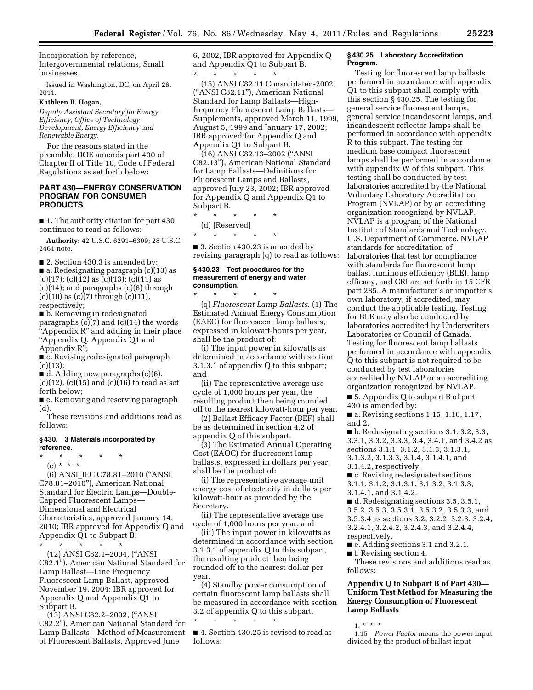Incorporation by reference, Intergovernmental relations, Small businesses.

Issued in Washington, DC, on April 26, 2011.

# **Kathleen B. Hogan,**

*Deputy Assistant Secretary for Energy Efficiency, Office of Technology Development, Energy Efficiency and Renewable Energy.* 

For the reasons stated in the preamble, DOE amends part 430 of Chapter II of Title 10, Code of Federal Regulations as set forth below:

# **PART 430—ENERGY CONSERVATION PROGRAM FOR CONSUMER PRODUCTS**

■ 1. The authority citation for part 430 continues to read as follows:

**Authority:** 42 U.S.C. 6291–6309; 28 U.S.C. 2461 note.

■ 2. Section 430.3 is amended by:

■ a. Redesignating paragraph (c)(13) as  $(c)(17); (c)(12)$  as  $(c)(13); (c)(11)$  as (c)(14); and paragraphs (c)(6) through  $(c)(10)$  as  $(c)(7)$  through  $(c)(11)$ , respectively;

■ b. Removing in redesignated paragraphs  $(c)(7)$  and  $(c)(14)$  the words ''Appendix R'' and adding in their place ''Appendix Q, Appendix Q1 and Appendix R'';

■ c. Revising redesignated paragraph  $(c)(13);$ 

■ d. Adding new paragraphs (c)(6),

 $(c)(12)$ ,  $(c)(15)$  and  $(c)(16)$  to read as set forth below;

■ e. Removing and reserving paragraph  $(d)$ 

These revisions and additions read as follows:

# **§ 430. 3 Materials incorporated by reference.**

\* \* \* \* \* (c) \* \* \*

(6) ANSI\_IEC C78.81–2010 (''ANSI C78.81–2010''), American National Standard for Electric Lamps—Double-Capped Fluorescent Lamps— Dimensional and Electrical Characteristics, approved January 14, 2010; IBR approved for Appendix Q and Appendix Q1 to Subpart B.

\* \* \* \* \* (12) ANSI C82.1–2004, (''ANSI C82.1''), American National Standard for Lamp Ballast—Line Frequency Fluorescent Lamp Ballast, approved November 19, 2004; IBR approved for Appendix Q and Appendix Q1 to Subpart B.

(13) ANSI C82.2–2002, (''ANSI C82.2''), American National Standard for Lamp Ballasts—Method of Measurement of Fluorescent Ballasts, Approved June

6, 2002, IBR approved for Appendix Q and Appendix Q1 to Subpart B. \* \* \* \* \*

(15) ANSI C82.11 Consolidated-2002, (''ANSI C82.11''), American National Standard for Lamp Ballasts—Highfrequency Fluorescent Lamp Ballasts— Supplements, approved March 11, 1999, August 5, 1999 and January 17, 2002; IBR approved for Appendix Q and Appendix Q1 to Subpart B.

(16) ANSI C82.13–2002 (''ANSI C82.13''), American National Standard for Lamp Ballasts—Definitions for Fluorescent Lamps and Ballasts, approved July 23, 2002; IBR approved for Appendix Q and Appendix Q1 to Subpart B.

\* \* \* \* \* (d) [Reserved] \* \* \* \* \*

■ 3. Section 430.23 is amended by revising paragraph (q) to read as follows:

## **§ 430.23 Test procedures for the measurement of energy and water consumption.**

\* \* \* \* \* (q) *Fluorescent Lamp Ballasts.* (1) The Estimated Annual Energy Consumption (EAEC) for fluorescent lamp ballasts, expressed in kilowatt-hours per year, shall be the product of:

(i) The input power in kilowatts as determined in accordance with section 3.1.3.1 of appendix Q to this subpart; and

(ii) The representative average use cycle of 1,000 hours per year, the resulting product then being rounded off to the nearest kilowatt-hour per year.

(2) Ballast Efficacy Factor (BEF) shall be as determined in section 4.2 of appendix Q of this subpart.

(3) The Estimated Annual Operating Cost (EAOC) for fluorescent lamp ballasts, expressed in dollars per year, shall be the product of:

(i) The representative average unit energy cost of electricity in dollars per kilowatt-hour as provided by the Secretary,

(ii) The representative average use cycle of 1,000 hours per year, and

(iii) The input power in kilowatts as determined in accordance with section 3.1.3.1 of appendix Q to this subpart, the resulting product then being rounded off to the nearest dollar per year.

(4) Standby power consumption of certain fluorescent lamp ballasts shall be measured in accordance with section 3.2 of appendix Q to this subpart. \* \* \* \* \*

■ 4. Section 430.25 is revised to read as follows:

## **§ 430.25 Laboratory Accreditation Program.**

Testing for fluorescent lamp ballasts performed in accordance with appendix Q1 to this subpart shall comply with this section § 430.25. The testing for general service fluorescent lamps, general service incandescent lamps, and incandescent reflector lamps shall be performed in accordance with appendix R to this subpart. The testing for medium base compact fluorescent lamps shall be performed in accordance with appendix W of this subpart. This testing shall be conducted by test laboratories accredited by the National Voluntary Laboratory Accreditation Program (NVLAP) or by an accrediting organization recognized by NVLAP. NVLAP is a program of the National Institute of Standards and Technology, U.S. Department of Commerce. NVLAP standards for accreditation of laboratories that test for compliance with standards for fluorescent lamp ballast luminous efficiency (BLE), lamp efficacy, and CRI are set forth in 15 CFR part 285. A manufacturer's or importer's own laboratory, if accredited, may conduct the applicable testing. Testing for BLE may also be conducted by laboratories accredited by Underwriters Laboratories or Council of Canada. Testing for fluorescent lamp ballasts performed in accordance with appendix Q to this subpart is not required to be conducted by test laboratories accredited by NVLAP or an accrediting organization recognized by NVLAP.

■ 5. Appendix Q to subpart B of part 430 is amended by:

■ a. Revising sections 1.15, 1.16, 1.17, and 2.

■ b. Redesignating sections 3.1, 3.2, 3.3, 3.3.1, 3.3.2, 3.3.3, 3.4, 3.4.1, and 3.4.2 as sections 3.1.1, 3.1.2, 3.1.3, 3.1.3.1, 3.1.3.2, 3.1.3.3, 3.1.4, 3.1.4.1, and 3.1.4.2, respectively.

■ c. Revising redesignated sections

3.1.1, 3.1.2, 3.1.3.1, 3.1.3.2, 3.1.3.3,

3.1.4.1, and 3.1.4.2.

■ d. Redesignating sections 3.5, 3.5.1, 3.5.2, 3.5.3, 3.5.3.1, 3.5.3.2, 3.5.3.3, and 3.5.3.4 as sections 3.2, 3.2.2, 3.2.3, 3.2.4,

3.2.4.1, 3.2.4.2, 3.2.4.3, and 3.2.4.4,

respectively.

■ e. Adding sections 3.1 and 3.2.1.

■ f. Revising section 4.

These revisions and additions read as follows:

# **Appendix Q to Subpart B of Part 430— Uniform Test Method for Measuring the Energy Consumption of Fluorescent Lamp Ballasts**

 $1. * * * *$ 

1.15 *Power Factor* means the power input divided by the product of ballast input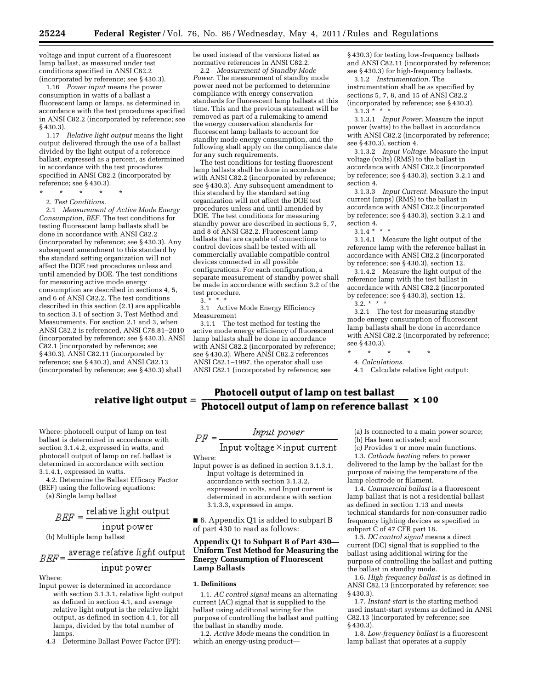voltage and input current of a fluorescent lamp ballast, as measured under test conditions specified in ANSI C82.2 (incorporated by reference; see § 430.3).

1.16 *Power input* means the power consumption in watts of a ballast a fluorescent lamp or lamps, as determined in accordance with the test procedures specified in ANSI C82.2 (incorporated by reference; see § 430.3).

1.17 *Relative light output* means the light output delivered through the use of a ballast divided by the light output of a reference ballast, expressed as a percent, as determined in accordance with the test procedures specified in ANSI C82.2 (incorporated by reference; see § 430.3).

\* \* \* \* \*

2. *Test Conditions.* 

2.1 *Measurement of Active Mode Energy Consumption, BEF.* The test conditions for testing fluorescent lamp ballasts shall be done in accordance with ANSI C82.2 (incorporated by reference; see § 430.3). Any subsequent amendment to this standard by the standard setting organization will not affect the DOE test procedures unless and until amended by DOE. The test conditions for measuring active mode energy consumption are described in sections 4, 5, and 6 of ANSI C82.2. The test conditions described in this section (2.1) are applicable to section 3.1 of section 3, Test Method and Measurements. For section 2.1 and 3, when ANSI C82.2 is referenced, ANSI C78.81–2010 (incorporated by reference; see § 430.3), ANSI C82.1 (incorporated by reference; see § 430.3), ANSI C82.11 (incorporated by reference; see § 430.3), and ANSI C82.13 (incorporated by reference; see § 430.3) shall

# relative light output  $=$

Where: photocell output of lamp on test ballast is determined in accordance with section 3.1.4.2, expressed in watts, and photocell output of lamp on ref. ballast is determined in accordance with section 3.1.4.1, expressed in watts.

4.2. Determine the Ballast Efficacy Factor (BEF) using the following equations:

(a) Single lamp ballast

# $BEF = \frac{\text{relative light output}}{}$ input power

(b) Multiple lamp ballast

#### average relative light output  $BEF =$ input power

Where:

- Input power is determined in accordance with section 3.1.3.1, relative light output as defined in section 4.1, and average relative light output is the relative light output, as defined in section 4.1, for all lamps, divided by the total number of lamps.
	- 4.3 Determine Ballast Power Factor (PF):

be used instead of the versions listed as normative references in ANSI C82.2.

2.2 *Measurement of Standby Mode Power.* The measurement of standby mode power need not be performed to determine compliance with energy conservation standards for fluorescent lamp ballasts at this time. This and the previous statement will be removed as part of a rulemaking to amend the energy conservation standards for fluorescent lamp ballasts to account for standby mode energy consumption, and the following shall apply on the compliance date for any such requirements.

The test conditions for testing fluorescent lamp ballasts shall be done in accordance with ANSI C82.2 (incorporated by reference; see § 430.3). Any subsequent amendment to this standard by the standard setting organization will not affect the DOE test procedures unless and until amended by DOE. The test conditions for measuring standby power are described in sections 5, 7, and 8 of ANSI C82.2. Fluorescent lamp ballasts that are capable of connections to control devices shall be tested with all commercially available compatible control devices connected in all possible configurations. For each configuration, a separate measurement of standby power shall be made in accordance with section 3.2 of the test procedure.

 $3<sup>3</sup>$ 

3.1 Active Mode Energy Efficiency Measurement

3.1.1 The test method for testing the active mode energy efficiency of fluorescent lamp ballasts shall be done in accordance with ANSI C82.2 (incorporated by reference; see § 430.3). Where ANSI C82.2 references ANSI C82.1–1997, the operator shall use ANSI C82.1 (incorporated by reference; see

§ 430.3) for testing low-frequency ballasts and ANSI C82.11 (incorporated by reference; see § 430.3) for high-frequency ballasts.

3.1.2 *Instrumentation.* The instrumentation shall be as specified by sections 5, 7, 8, and 15 of ANSI C82.2 (incorporated by reference; see § 430.3).  $3.1.\overline{3}$  \* \*

3.1.3.1 *Input Power.* Measure the input power (watts) to the ballast in accordance with ANSI C82.2 (incorporated by reference; see § 430.3), section 4.

3.1.3.2 *Input Voltage.* Measure the input voltage (volts) (RMS) to the ballast in accordance with ANSI C82.2 (incorporated by reference; see § 430.3), section 3.2.1 and section 4.

3.1.3.3 *Input Current.* Measure the input current (amps) (RMS) to the ballast in accordance with ANSI C82.2 (incorporated by reference; see § 430.3), section 3.2.1 and section 4.

 $3.1.4$  \* \* \*

3.1.4.1 Measure the light output of the reference lamp with the reference ballast in accordance with ANSI C82.2 (incorporated by reference; see § 430.3), section 12.

3.1.4.2 Measure the light output of the reference lamp with the test ballast in accordance with ANSI C82.2 (incorporated by reference; see § 430.3), section 12.  $3.2.$  \* \*

3.2.1 The test for measuring standby mode energy consumption of fluorescent lamp ballasts shall be done in accordance with ANSI C82.2 (incorporated by reference; see § 430.3).

\* \* \* \* \*

4. *Calculations.* 

4.1 Calculate relative light output:

# Photocell output of lamp on test ballast  $\times 100$ Photocell output of lamp on reference ballast

 $\label{eq:2} \begin{split} PF = \frac{1}{\text{Input voltage} \times \text{input current}} \\ \text{Where:} \end{split}$ 

Input power is as defined in section 3.1.3.1, Input voltage is determined in accordance with section 3.1.3.2, expressed in volts, and Input current is determined in accordance with section 3.1.3.3, expressed in amps.

■ 6. Appendix Q1 is added to subpart B of part 430 to read as follows:

# **Appendix Q1 to Subpart B of Part 430— Uniform Test Method for Measuring the Energy Consumption of Fluorescent Lamp Ballasts**

# **1. Definitions**

1.1. *AC control signal* means an alternating current (AC) signal that is supplied to the ballast using additional wiring for the purpose of controlling the ballast and putting the ballast in standby mode.

1.2. *Active Mode* means the condition in which an energy-using product(a) Is connected to a main power source;

(b) Has been activated; and

(c) Provides 1 or more main functions. 1.3. *Cathode heating* refers to power

delivered to the lamp by the ballast for the purpose of raising the temperature of the lamp electrode or filament.

1.4. *Commercial ballast* is a fluorescent lamp ballast that is not a residential ballast as defined in section 1.13 and meets technical standards for non-consumer radio frequency lighting devices as specified in subpart C of 47 CFR part 18.

1.5. *DC control signal* means a direct current (DC) signal that is supplied to the ballast using additional wiring for the purpose of controlling the ballast and putting the ballast in standby mode.

1.6. *High-frequency ballast* is as defined in ANSI C82.13 (incorporated by reference; see § 430.3).

1.7. *Instant-start* is the starting method used instant-start systems as defined in ANSI C82.13 (incorporated by reference; see § 430.3).

1.8. *Low-frequency ballast* is a fluorescent lamp ballast that operates at a supply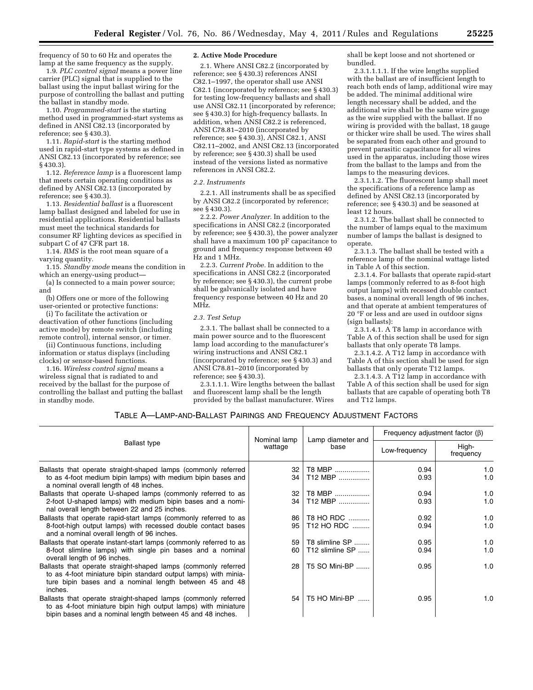frequency of 50 to 60 Hz and operates the lamp at the same frequency as the supply.

1.9. *PLC control signal* means a power line carrier (PLC) signal that is supplied to the ballast using the input ballast wiring for the purpose of controlling the ballast and putting the ballast in standby mode.

1.10. *Programmed-start* is the starting method used in programmed-start systems as defined in ANSI C82.13 (incorporated by reference; see § 430.3).

1.11. *Rapid-start* is the starting method used in rapid-start type systems as defined in ANSI C82.13 (incorporated by reference; see § 430.3).

1.12. *Reference lamp* is a fluorescent lamp that meets certain operating conditions as defined by ANSI C82.13 (incorporated by reference; see § 430.3).

1.13. *Residential ballast* is a fluorescent lamp ballast designed and labeled for use in residential applications. Residential ballasts must meet the technical standards for consumer RF lighting devices as specified in subpart C of 47 CFR part 18.

1.14. *RMS* is the root mean square of a varying quantity.

1.15. *Standby mode* means the condition in which an energy-using product—

(a) Is connected to a main power source; and

(b) Offers one or more of the following user-oriented or protective functions:

(i) To facilitate the activation or deactivation of other functions (including active mode) by remote switch (including remote control), internal sensor, or timer.

(ii) Continuous functions, including information or status displays (including clocks) or sensor-based functions.

1.16. *Wireless control signal* means a wireless signal that is radiated to and received by the ballast for the purpose of controlling the ballast and putting the ballast in standby mode.

#### **2. Active Mode Procedure**

2.1. Where ANSI C82.2 (incorporated by reference; see § 430.3) references ANSI C82.1–1997, the operator shall use ANSI C82.1 (incorporated by reference; see § 430.3) for testing low-frequency ballasts and shall use ANSI C82.11 (incorporated by reference; see § 430.3) for high-frequency ballasts. In addition, when ANSI  $C\overline{8}2.2$  is referenced, ANSI C78.81–2010 (incorporated by reference; see § 430.3), ANSI C82.1, ANSI C82.11–2002, and ANSI C82.13 (incorporated by reference; see § 430.3) shall be used instead of the versions listed as normative references in ANSI C82.2.

#### *2.2. Instruments*

2.2.1. All instruments shall be as specified by ANSI C82.2 (incorporated by reference; see § 430.3).

2.2.2. *Power Analyzer.* In addition to the specifications in ANSI C82.2 (incorporated by reference; see § 430.3), the power analyzer shall have a maximum 100 pF capacitance to ground and frequency response between 40 Hz and 1 MHz.

2.2.3. *Current Probe.* In addition to the specifications in ANSI C82.2 (incorporated by reference; see § 430.3), the current probe shall be galvanically isolated and have frequency response between 40 Hz and 20 MHz.

#### *2.3. Test Setup*

2.3.1. The ballast shall be connected to a main power source and to the fluorescent lamp load according to the manufacturer's wiring instructions and ANSI C82.1 (incorporated by reference; see § 430.3) and ANSI C78.81–2010 (incorporated by reference; see § 430.3).

2.3.1.1.1. Wire lengths between the ballast and fluorescent lamp shall be the length provided by the ballast manufacturer. Wires

shall be kept loose and not shortened or bundled.

2.3.1.1.1.1. If the wire lengths supplied with the ballast are of insufficient length to reach both ends of lamp, additional wire may be added. The minimal additional wire length necessary shall be added, and the additional wire shall be the same wire gauge as the wire supplied with the ballast. If no wiring is provided with the ballast, 18 gauge or thicker wire shall be used. The wires shall be separated from each other and ground to prevent parasitic capacitance for all wires used in the apparatus, including those wires from the ballast to the lamps and from the lamps to the measuring devices.

2.3.1.1.2. The fluorescent lamp shall meet the specifications of a reference lamp as defined by ANSI C82.13 (incorporated by reference; see § 430.3) and be seasoned at least 12 hours.

2.3.1.2. The ballast shall be connected to the number of lamps equal to the maximum number of lamps the ballast is designed to operate.

2.3.1.3. The ballast shall be tested with a reference lamp of the nominal wattage listed in Table A of this section.

2.3.1.4. For ballasts that operate rapid-start lamps (commonly referred to as 8-foot high output lamps) with recessed double contact bases, a nominal overall length of 96 inches, and that operate at ambient temperatures of 20 °F or less and are used in outdoor signs (sign ballasts):

2.3.1.4.1. A T8 lamp in accordance with Table A of this section shall be used for sign ballasts that only operate T8 lamps.

2.3.1.4.2. A T12 lamp in accordance with Table A of this section shall be used for sign ballasts that only operate T12 lamps.

2.3.1.4.3. A T12 lamp in accordance with Table A of this section shall be used for sign ballasts that are capable of operating both T8 and T12 lamps.

# TABLE A—LAMP-AND-BALLAST PAIRINGS AND FREQUENCY ADJUSTMENT FACTORS

| <b>Ballast type</b>                                                                                                                                                                                     | Nominal lamp<br>wattage | Lamp diameter and<br>base | Frequency adjustment factor $(\beta)$ |                    |
|---------------------------------------------------------------------------------------------------------------------------------------------------------------------------------------------------------|-------------------------|---------------------------|---------------------------------------|--------------------|
|                                                                                                                                                                                                         |                         |                           | Low-frequency                         | High-<br>frequency |
| Ballasts that operate straight-shaped lamps (commonly referred                                                                                                                                          | 32                      | T8 MBP                    | 0.94                                  | 1.0                |
| to as 4-foot medium bipin lamps) with medium bipin bases and<br>a nominal overall length of 48 inches.                                                                                                  | 34                      | T12 MBP                   | 0.93                                  | 1.0                |
| Ballasts that operate U-shaped lamps (commonly referred to as                                                                                                                                           | 32                      | T8 MBP                    | 0.94                                  | 1.0                |
| 2-foot U-shaped lamps) with medium bipin bases and a nomi-<br>nal overall length between 22 and 25 inches.                                                                                              | 34                      | T12 MBP                   | 0.93                                  | 1.0                |
| Ballasts that operate rapid-start lamps (commonly referred to as                                                                                                                                        | 86                      | <b>T8 HO RDC</b>          | 0.92                                  | 1.0                |
| 8-foot-high output lamps) with recessed double contact bases<br>and a nominal overall length of 96 inches.                                                                                              | 95                      | T <sub>12</sub> HO RDC    | 0.94                                  | 1.0                |
| Ballasts that operate instant-start lamps (commonly referred to as                                                                                                                                      | 59                      | T8 slimline SP            | 0.95                                  | 1.0                |
| 8-foot slimline lamps) with single pin bases and a nominal<br>overall length of 96 inches.                                                                                                              | 60                      | T12 slimline SP           | 0.94                                  | 1.0                |
| Ballasts that operate straight-shaped lamps (commonly referred<br>to as 4-foot miniature bipin standard output lamps) with minia-<br>ture bipin bases and a nominal length between 45 and 48<br>inches. | 28                      | T5 SO Mini-BP             | 0.95                                  | 1.0                |
| Ballasts that operate straight-shaped lamps (commonly referred<br>to as 4-foot miniature bipin high output lamps) with miniature<br>bipin bases and a nominal length between 45 and 48 inches.          | 54                      | T5 HO Mini-BP             | 0.95                                  | 1.0                |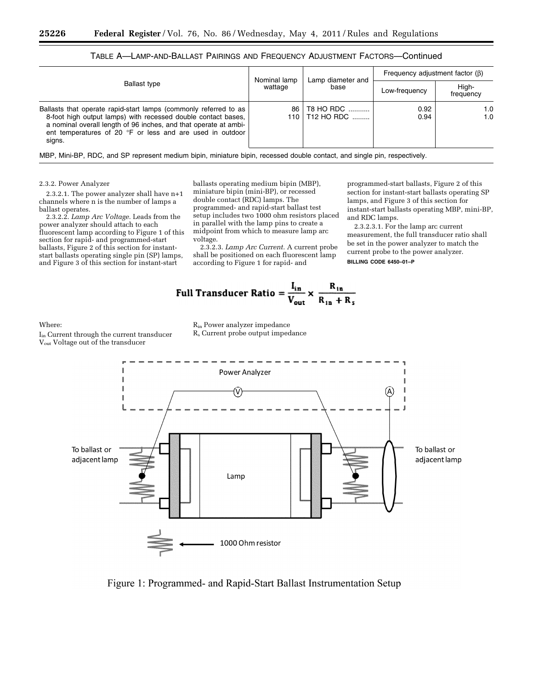| <b>Ballast type</b>                                                                                                                                                                                                                                                          | Nominal lamp<br>wattage | Lamp diameter and<br>base     | Frequency adjustment factor $(\beta)$ |                    |
|------------------------------------------------------------------------------------------------------------------------------------------------------------------------------------------------------------------------------------------------------------------------------|-------------------------|-------------------------------|---------------------------------------|--------------------|
|                                                                                                                                                                                                                                                                              |                         |                               | Low-frequency                         | High-<br>frequency |
| Ballasts that operate rapid-start lamps (commonly referred to as<br>8-foot high output lamps) with recessed double contact bases,<br>a nominal overall length of 96 inches, and that operate at ambi-<br>ent temperatures of 20 °F or less and are used in outdoor<br>signs. | 86                      | T8 HO RDC<br>110   T12 HO RDC | 0.92<br>0.94                          | 1.0<br>1.0         |

TABLE A—LAMP-AND-BALLAST PAIRINGS AND FREQUENCY ADJUSTMENT FACTORS—Continued

MBP, Mini-BP, RDC, and SP represent medium bipin, miniature bipin, recessed double contact, and single pin, respectively.

#### 2.3.2. Power Analyzer

2.3.2.1. The power analyzer shall have n+1 channels where n is the number of lamps a ballast operates.

2.3.2.2. *Lamp Arc Voltage.* Leads from the power analyzer should attach to each fluorescent lamp according to Figure 1 of this section for rapid- and programmed-start ballasts, Figure 2 of this section for instantstart ballasts operating single pin (SP) lamps, and Figure 3 of this section for instant-start

ballasts operating medium bipin (MBP), miniature bipin (mini-BP), or recessed double contact (RDC) lamps. The programmed- and rapid-start ballast test setup includes two 1000 ohm resistors placed in parallel with the lamp pins to create a midpoint from which to measure lamp arc voltage.

2.3.2.3. *Lamp Arc Current.* A current probe shall be positioned on each fluorescent lamp according to Figure 1 for rapid- and

programmed-start ballasts, Figure 2 of this section for instant-start ballasts operating SP lamps, and Figure 3 of this section for instant-start ballasts operating MBP, mini-BP, and RDC lamps.

2.3.2.3.1. For the lamp arc current measurement, the full transducer ratio shall be set in the power analyzer to match the current probe to the power analyzer. **BILLING CODE 6450–01–P** 

Full Transducer Ratio = 
$$
\frac{I_{in}}{V_{out}} \times \frac{R_{in}}{R_{in} + R_s}
$$

# Where:

Iin Current through the current transducer Vout Voltage out of the transducer

Rin Power analyzer impedance Rs Current probe output impedance



Figure 1: Programmed- and Rapid-Start Ballast Instrumentation Setup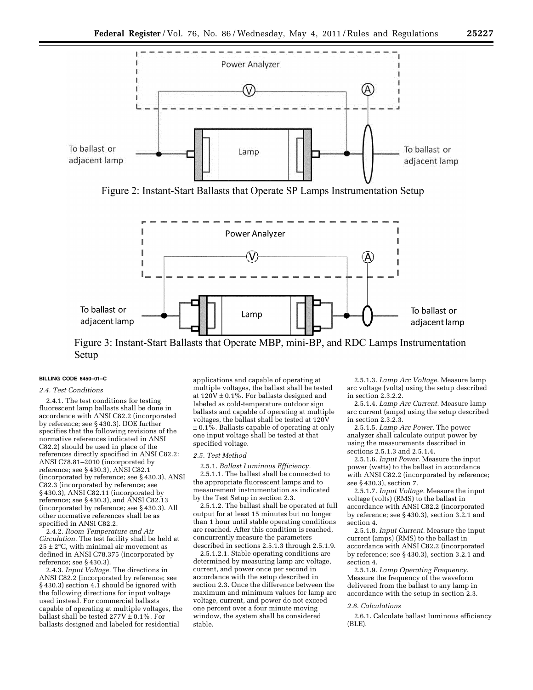

Figure 2: Instant-Start Ballasts that Operate SP Lamps Instrumentation Setup



Figure 3: Instant-Start Ballasts that Operate MBP, mini-BP, and RDC Lamps Instrumentation Setup

#### **BILLING CODE 6450–01–C**

#### *2.4. Test Conditions*

2.4.1. The test conditions for testing fluorescent lamp ballasts shall be done in accordance with ANSI C82.2 (incorporated by reference; see § 430.3). DOE further specifies that the following revisions of the normative references indicated in ANSI C82.2) should be used in place of the references directly specified in ANSI C82.2: ANSI C78.81–2010 (incorporated by reference; see § 430.3),  $\angle$ ANSI C82.1 (incorporated by reference; see § 430.3), ANSI C82.3 (incorporated by reference; see § 430.3), ANSI C82.11 (incorporated by reference; see § 430.3), and ANSI C82.13 (incorporated by reference; see § 430.3). All other normative references shall be as specified in ANSI C82.2.

2.4.2. *Room Temperature and Air Circulation.* The test facility shall be held at  $25 \pm 2$ °C, with minimal air movement as defined in ANSI C78.375 (incorporated by reference; see § 430.3).

2.4.3. *Input Voltage.* The directions in ANSI C82.2 (incorporated by reference; see § 430.3) section 4.1 should be ignored with the following directions for input voltage used instead. For commercial ballasts capable of operating at multiple voltages, the ballast shall be tested  $277V \pm 0.1\%$ . For ballasts designed and labeled for residential

applications and capable of operating at multiple voltages, the ballast shall be tested at  $120V \pm 0.1\%$ . For ballasts designed and labeled as cold-temperature outdoor sign ballasts and capable of operating at multiple voltages, the ballast shall be tested at 120V  $\pm$  0.1%. Ballasts capable of operating at only one input voltage shall be tested at that specified voltage.

#### *2.5. Test Method*

2.5.1. *Ballast Luminous Efficiency.*  2.5.1.1. The ballast shall be connected to the appropriate fluorescent lamps and to measurement instrumentation as indicated

by the Test Setup in section 2.3. 2.5.1.2. The ballast shall be operated at full output for at least 15 minutes but no longer than 1 hour until stable operating conditions are reached. After this condition is reached, concurrently measure the parameters described in sections 2.5.1.3 through 2.5.1.9.

2.5.1.2.1. Stable operating conditions are determined by measuring lamp arc voltage, current, and power once per second in accordance with the setup described in section 2.3. Once the difference between the maximum and minimum values for lamp arc voltage, current, and power do not exceed one percent over a four minute moving window, the system shall be considered stable.

2.5.1.3. *Lamp Arc Voltage.* Measure lamp arc voltage (volts) using the setup described in section 2.3.2.2.

2.5.1.4. *Lamp Arc Current.* Measure lamp arc current (amps) using the setup described in section 2.3.2.3.

2.5.1.5. *Lamp Arc Power.* The power analyzer shall calculate output power by using the measurements described in sections 2.5.1.3 and 2.5.1.4.

2.5.1.6. *Input Power.* Measure the input power (watts) to the ballast in accordance with ANSI C82.2 (incorporated by reference; see § 430.3), section 7.

2.5.1.7. *Input Voltage.* Measure the input voltage (volts) (RMS) to the ballast in accordance with ANSI C82.2 (incorporated by reference; see § 430.3), section 3.2.1 and section 4.

2.5.1.8. *Input Current.* Measure the input current (amps) (RMS) to the ballast in accordance with ANSI C82.2 (incorporated by reference; see § 430.3), section 3.2.1 and section 4.

2.5.1.9. *Lamp Operating Frequency.*  Measure the frequency of the waveform delivered from the ballast to any lamp in accordance with the setup in section 2.3.

#### *2.6. Calculations*

2.6.1. Calculate ballast luminous efficiency (BLE).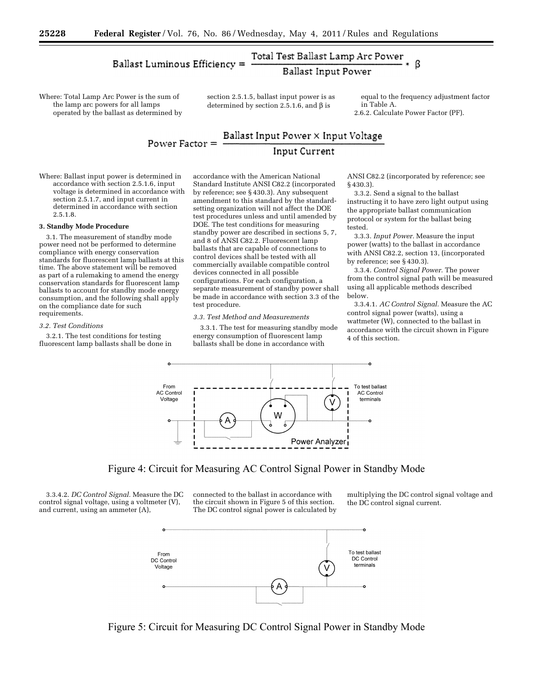#### Total Test Ballast Lamp Arc Power **Ballast Luminous Efficiency =** ß **Ballast Input Power**

Where: Total Lamp Arc Power is the sum of the lamp arc powers for all lamps operated by the ballast as determined by section 2.5.1.5, ballast input power is as determined by section 2.5.1.6, and  $\beta$  is

equal to the frequency adjustment factor in Table A. 2.6.2. Calculate Power Factor (PF).

# $\textbf{Ballast Input Power} \times \text{Input Voltage}$ Power Factor  $=$ **Input Current**

Where: Ballast input power is determined in accordance with section 2.5.1.6, input voltage is determined in accordance with section 2.5.1.7, and input current in determined in accordance with section 2.5.1.8.

#### **3. Standby Mode Procedure**

3.1. The measurement of standby mode power need not be performed to determine compliance with energy conservation standards for fluorescent lamp ballasts at this time. The above statement will be removed as part of a rulemaking to amend the energy conservation standards for fluorescent lamp ballasts to account for standby mode energy consumption, and the following shall apply on the compliance date for such requirements.

#### *3.2. Test Conditions*

3.2.1. The test conditions for testing fluorescent lamp ballasts shall be done in

accordance with the American National Standard Institute ANSI C82.2 (incorporated by reference; see § 430.3). Any subsequent amendment to this standard by the standardsetting organization will not affect the DOE test procedures unless and until amended by DOE. The test conditions for measuring standby power are described in sections 5, 7, and 8 of ANSI C82.2. Fluorescent lamp ballasts that are capable of connections to control devices shall be tested with all commercially available compatible control devices connected in all possible configurations. For each configuration, a separate measurement of standby power shall be made in accordance with section 3.3 of the test procedure.

#### *3.3. Test Method and Measurements*

3.3.1. The test for measuring standby mode energy consumption of fluorescent lamp ballasts shall be done in accordance with

ANSI C82.2 (incorporated by reference; see § 430.3).

3.3.2. Send a signal to the ballast instructing it to have zero light output using the appropriate ballast communication protocol or system for the ballast being tested.

3.3.3. *Input Power.* Measure the input power (watts) to the ballast in accordance with ANSI C82.2, section 13, (incorporated by reference; see § 430.3).

3.3.4. *Control Signal Power.* The power from the control signal path will be measured using all applicable methods described below.

3.3.4.1. *AC Control Signal.* Measure the AC control signal power (watts), using a wattmeter (W), connected to the ballast in accordance with the circuit shown in Figure 4 of this section.



Figure 4: Circuit for Measuring AC Control Signal Power in Standby Mode

3.3.4.2. *DC Control Signal.* Measure the DC control signal voltage, using a voltmeter (V), and current, using an ammeter (A),

connected to the ballast in accordance with the circuit shown in Figure 5 of this section. The DC control signal power is calculated by multiplying the DC control signal voltage and the DC control signal current.



Figure 5: Circuit for Measuring DC Control Signal Power in Standby Mode